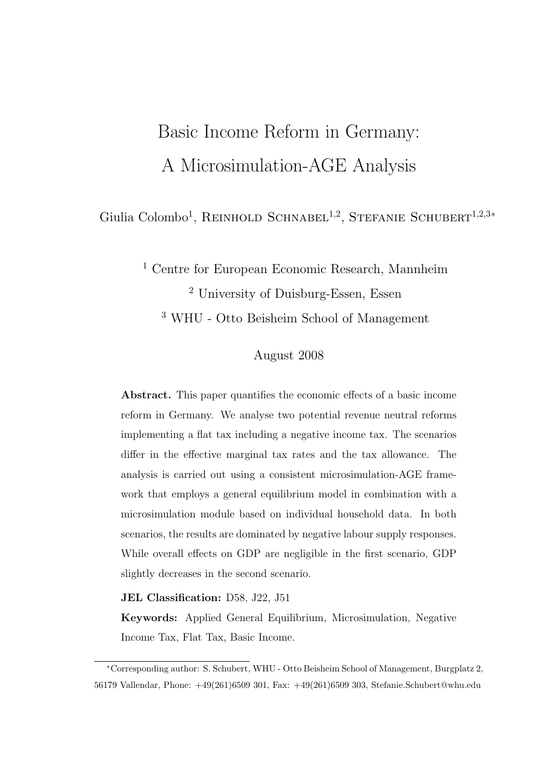# Basic Income Reform in Germany: A Microsimulation-AGE Analysis

Giulia Colombo<sup>1</sup>, REINHOLD SCHNABEL<sup>1,2</sup>, STEFANIE SCHUBERT<sup>1,2,3</sup>\*

<sup>1</sup> Centre for European Economic Research, Mannheim <sup>2</sup> University of Duisburg-Essen, Essen <sup>3</sup> WHU - Otto Beisheim School of Management

#### August 2008

Abstract. This paper quantifies the economic effects of a basic income reform in Germany. We analyse two potential revenue neutral reforms implementing a flat tax including a negative income tax. The scenarios differ in the effective marginal tax rates and the tax allowance. The analysis is carried out using a consistent microsimulation-AGE framework that employs a general equilibrium model in combination with a microsimulation module based on individual household data. In both scenarios, the results are dominated by negative labour supply responses. While overall effects on GDP are negligible in the first scenario, GDP slightly decreases in the second scenario.

JEL Classification: D58, J22, J51

Keywords: Applied General Equilibrium, Microsimulation, Negative Income Tax, Flat Tax, Basic Income.

<sup>∗</sup>Corresponding author: S. Schubert, WHU - Otto Beisheim School of Management, Burgplatz 2, 56179 Vallendar, Phone: +49(261)6509 301, Fax: +49(261)6509 303, Stefanie.Schubert@whu.edu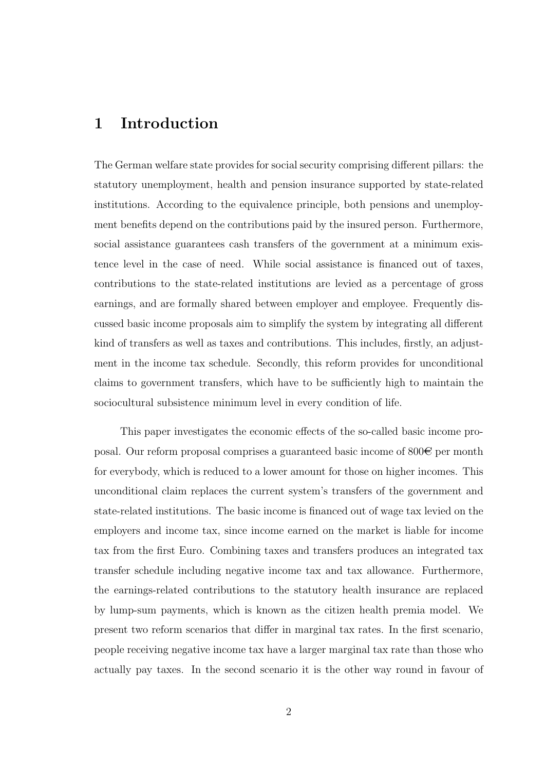# 1 Introduction

The German welfare state provides for social security comprising different pillars: the statutory unemployment, health and pension insurance supported by state-related institutions. According to the equivalence principle, both pensions and unemployment benefits depend on the contributions paid by the insured person. Furthermore, social assistance guarantees cash transfers of the government at a minimum existence level in the case of need. While social assistance is financed out of taxes, contributions to the state-related institutions are levied as a percentage of gross earnings, and are formally shared between employer and employee. Frequently discussed basic income proposals aim to simplify the system by integrating all different kind of transfers as well as taxes and contributions. This includes, firstly, an adjustment in the income tax schedule. Secondly, this reform provides for unconditional claims to government transfers, which have to be sufficiently high to maintain the sociocultural subsistence minimum level in every condition of life.

This paper investigates the economic effects of the so-called basic income proposal. Our reform proposal comprises a guaranteed basic income of  $800\epsilon$  per month for everybody, which is reduced to a lower amount for those on higher incomes. This unconditional claim replaces the current system's transfers of the government and state-related institutions. The basic income is financed out of wage tax levied on the employers and income tax, since income earned on the market is liable for income tax from the first Euro. Combining taxes and transfers produces an integrated tax transfer schedule including negative income tax and tax allowance. Furthermore, the earnings-related contributions to the statutory health insurance are replaced by lump-sum payments, which is known as the citizen health premia model. We present two reform scenarios that differ in marginal tax rates. In the first scenario, people receiving negative income tax have a larger marginal tax rate than those who actually pay taxes. In the second scenario it is the other way round in favour of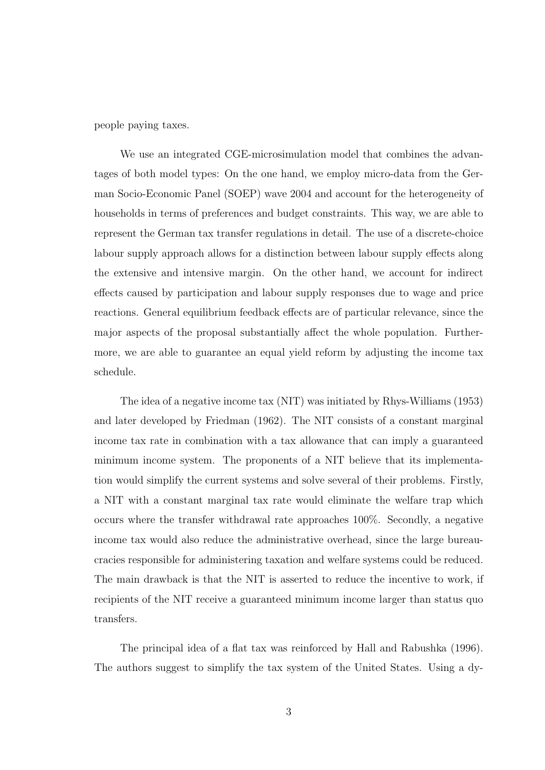people paying taxes.

We use an integrated CGE-microsimulation model that combines the advantages of both model types: On the one hand, we employ micro-data from the German Socio-Economic Panel (SOEP) wave 2004 and account for the heterogeneity of households in terms of preferences and budget constraints. This way, we are able to represent the German tax transfer regulations in detail. The use of a discrete-choice labour supply approach allows for a distinction between labour supply effects along the extensive and intensive margin. On the other hand, we account for indirect effects caused by participation and labour supply responses due to wage and price reactions. General equilibrium feedback effects are of particular relevance, since the major aspects of the proposal substantially affect the whole population. Furthermore, we are able to guarantee an equal yield reform by adjusting the income tax schedule.

The idea of a negative income tax (NIT) was initiated by Rhys-Williams (1953) and later developed by Friedman (1962). The NIT consists of a constant marginal income tax rate in combination with a tax allowance that can imply a guaranteed minimum income system. The proponents of a NIT believe that its implementation would simplify the current systems and solve several of their problems. Firstly, a NIT with a constant marginal tax rate would eliminate the welfare trap which occurs where the transfer withdrawal rate approaches 100%. Secondly, a negative income tax would also reduce the administrative overhead, since the large bureaucracies responsible for administering taxation and welfare systems could be reduced. The main drawback is that the NIT is asserted to reduce the incentive to work, if recipients of the NIT receive a guaranteed minimum income larger than status quo transfers.

The principal idea of a flat tax was reinforced by Hall and Rabushka (1996). The authors suggest to simplify the tax system of the United States. Using a dy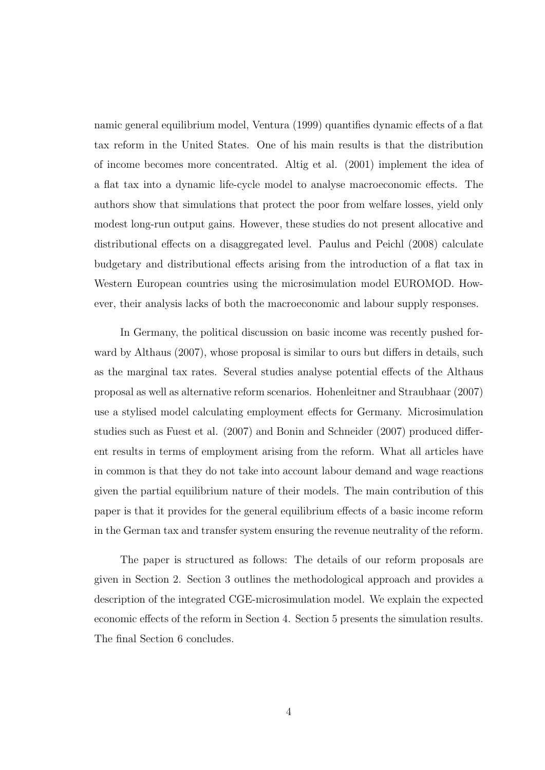namic general equilibrium model, Ventura (1999) quantifies dynamic effects of a flat tax reform in the United States. One of his main results is that the distribution of income becomes more concentrated. Altig et al. (2001) implement the idea of a flat tax into a dynamic life-cycle model to analyse macroeconomic effects. The authors show that simulations that protect the poor from welfare losses, yield only modest long-run output gains. However, these studies do not present allocative and distributional effects on a disaggregated level. Paulus and Peichl (2008) calculate budgetary and distributional effects arising from the introduction of a flat tax in Western European countries using the microsimulation model EUROMOD. However, their analysis lacks of both the macroeconomic and labour supply responses.

In Germany, the political discussion on basic income was recently pushed forward by Althaus (2007), whose proposal is similar to ours but differs in details, such as the marginal tax rates. Several studies analyse potential effects of the Althaus proposal as well as alternative reform scenarios. Hohenleitner and Straubhaar (2007) use a stylised model calculating employment effects for Germany. Microsimulation studies such as Fuest et al. (2007) and Bonin and Schneider (2007) produced different results in terms of employment arising from the reform. What all articles have in common is that they do not take into account labour demand and wage reactions given the partial equilibrium nature of their models. The main contribution of this paper is that it provides for the general equilibrium effects of a basic income reform in the German tax and transfer system ensuring the revenue neutrality of the reform.

The paper is structured as follows: The details of our reform proposals are given in Section 2. Section 3 outlines the methodological approach and provides a description of the integrated CGE-microsimulation model. We explain the expected economic effects of the reform in Section 4. Section 5 presents the simulation results. The final Section 6 concludes.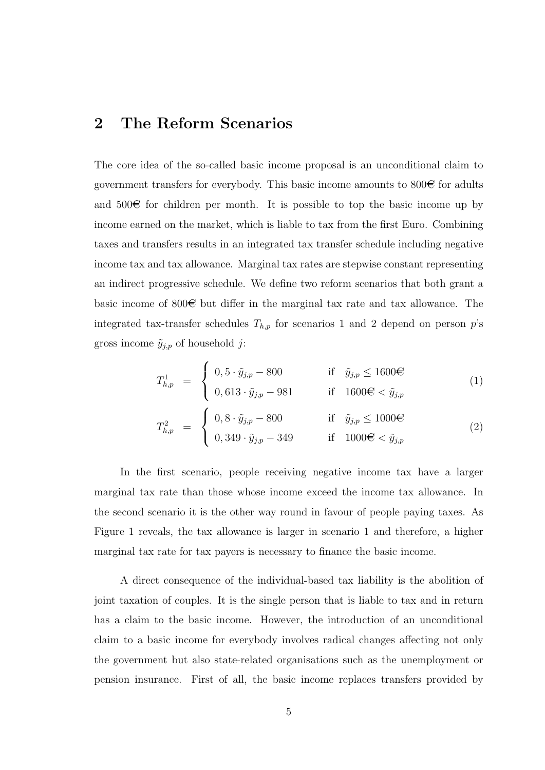# 2 The Reform Scenarios

The core idea of the so-called basic income proposal is an unconditional claim to government transfers for everybody. This basic income amounts to  $800\epsilon$  for adults and  $500\text{€}$  for children per month. It is possible to top the basic income up by income earned on the market, which is liable to tax from the first Euro. Combining taxes and transfers results in an integrated tax transfer schedule including negative income tax and tax allowance. Marginal tax rates are stepwise constant representing an indirect progressive schedule. We define two reform scenarios that both grant a basic income of 800 $\oplus$  but differ in the marginal tax rate and tax allowance. The integrated tax-transfer schedules  $T_{h,p}$  for scenarios 1 and 2 depend on person p's gross income  $\tilde{y}_{i,p}$  of household j:

$$
T_{h,p}^{1} = \begin{cases} 0, 5 \cdot \tilde{y}_{j,p} - 800 & \text{if } \tilde{y}_{j,p} \le 1600 \in \\ 0, 613 \cdot \tilde{y}_{j,p} - 981 & \text{if } 1600 \in < \tilde{y}_{j,p} \end{cases}
$$
 (1)

$$
T_{h,p}^2 = \begin{cases} 0, 8 \cdot \tilde{y}_{j,p} - 800 & \text{if } \tilde{y}_{j,p} \le 1000 \in \\ 0, 349 \cdot \tilde{y}_{j,p} - 349 & \text{if } 1000 \in < \tilde{y}_{j,p} \end{cases}
$$
 (2)

In the first scenario, people receiving negative income tax have a larger marginal tax rate than those whose income exceed the income tax allowance. In the second scenario it is the other way round in favour of people paying taxes. As Figure 1 reveals, the tax allowance is larger in scenario 1 and therefore, a higher marginal tax rate for tax payers is necessary to finance the basic income.

A direct consequence of the individual-based tax liability is the abolition of joint taxation of couples. It is the single person that is liable to tax and in return has a claim to the basic income. However, the introduction of an unconditional claim to a basic income for everybody involves radical changes affecting not only the government but also state-related organisations such as the unemployment or pension insurance. First of all, the basic income replaces transfers provided by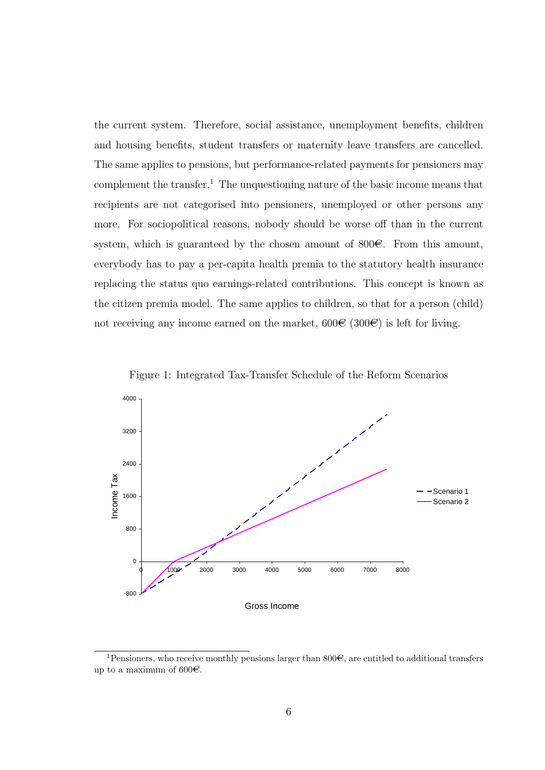the current system. Therefore, social assistance, unemployment benefits, children and housing benefits, student transfers or maternity leave transfers are cancelled. The same applies to pensions, but performance-related payments for pensioners may complement the transfer.<sup>1</sup> The unquestioning nature of the basic income means that recipients are not categorised into pensioners, unemployed or other persons any more. For sociopolitical reasons, nobody should be worse off than in the current system, which is guaranteed by the chosen amount of  $800\epsilon$ . From this amount, everybody has to pay a per-capita health premia to the statutory health insurance replacing the status quo earnings-related contributions. This concept is known as the citizen premia model. The same applies to children, so that for a person (child) not receiving any income earned on the market,  $600\text{€ } (300\text{€})$  is left for living.





<sup>&</sup>lt;sup>1</sup>Pensioners, who receive monthly pensions larger than  $800\epsilon$ , are entitled to additional transfers up to a maximum of  $600<sup>∈</sup>$ .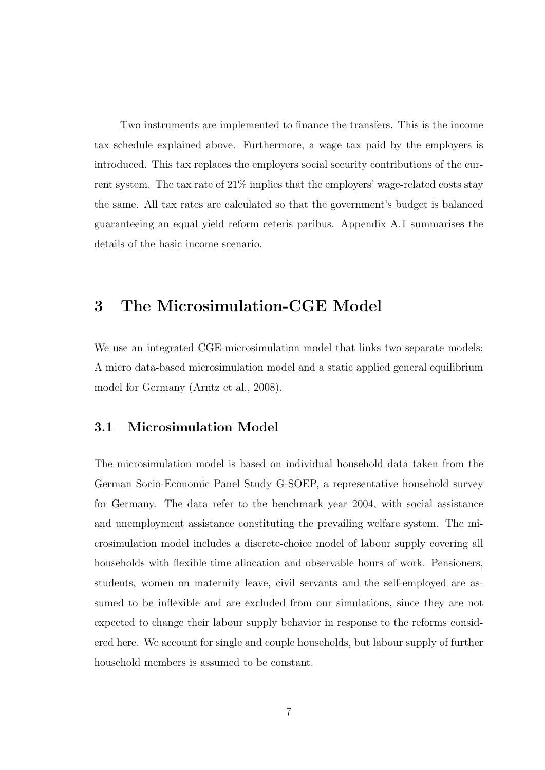Two instruments are implemented to finance the transfers. This is the income tax schedule explained above. Furthermore, a wage tax paid by the employers is introduced. This tax replaces the employers social security contributions of the current system. The tax rate of 21% implies that the employers' wage-related costs stay the same. All tax rates are calculated so that the government's budget is balanced guaranteeing an equal yield reform ceteris paribus. Appendix A.1 summarises the details of the basic income scenario.

# 3 The Microsimulation-CGE Model

We use an integrated CGE-microsimulation model that links two separate models: A micro data-based microsimulation model and a static applied general equilibrium model for Germany (Arntz et al., 2008).

#### 3.1 Microsimulation Model

The microsimulation model is based on individual household data taken from the German Socio-Economic Panel Study G-SOEP, a representative household survey for Germany. The data refer to the benchmark year 2004, with social assistance and unemployment assistance constituting the prevailing welfare system. The microsimulation model includes a discrete-choice model of labour supply covering all households with flexible time allocation and observable hours of work. Pensioners, students, women on maternity leave, civil servants and the self-employed are assumed to be inflexible and are excluded from our simulations, since they are not expected to change their labour supply behavior in response to the reforms considered here. We account for single and couple households, but labour supply of further household members is assumed to be constant.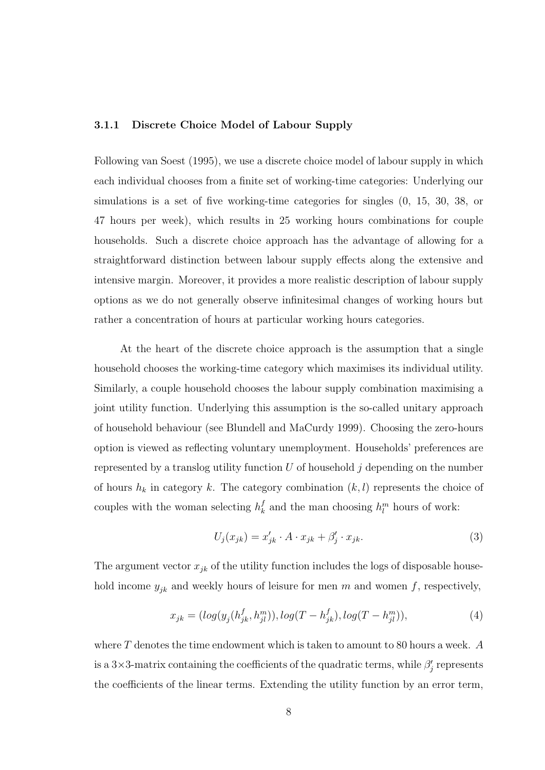#### 3.1.1 Discrete Choice Model of Labour Supply

Following van Soest (1995), we use a discrete choice model of labour supply in which each individual chooses from a finite set of working-time categories: Underlying our simulations is a set of five working-time categories for singles (0, 15, 30, 38, or 47 hours per week), which results in 25 working hours combinations for couple households. Such a discrete choice approach has the advantage of allowing for a straightforward distinction between labour supply effects along the extensive and intensive margin. Moreover, it provides a more realistic description of labour supply options as we do not generally observe infinitesimal changes of working hours but rather a concentration of hours at particular working hours categories.

At the heart of the discrete choice approach is the assumption that a single household chooses the working-time category which maximises its individual utility. Similarly, a couple household chooses the labour supply combination maximising a joint utility function. Underlying this assumption is the so-called unitary approach of household behaviour (see Blundell and MaCurdy 1999). Choosing the zero-hours option is viewed as reflecting voluntary unemployment. Households' preferences are represented by a translog utility function  $U$  of household  $j$  depending on the number of hours  $h_k$  in category k. The category combination  $(k, l)$  represents the choice of couples with the woman selecting  $h_k^f$  $\mu_k^f$  and the man choosing  $h_l^m$  hours of work:

$$
U_j(x_{jk}) = x'_{jk} \cdot A \cdot x_{jk} + \beta'_j \cdot x_{jk}.
$$
\n(3)

The argument vector  $x_{jk}$  of the utility function includes the logs of disposable household income  $y_{jk}$  and weekly hours of leisure for men m and women f, respectively,

$$
x_{jk} = (log(y_j(h_{jk}^f, h_{jl}^m)), log(T - h_{jk}^f), log(T - h_{jl}^m)),
$$
\n(4)

where  $T$  denotes the time endowment which is taken to amount to 80 hours a week. A is a 3×3-matrix containing the coefficients of the quadratic terms, while  $\beta'_j$  represents the coefficients of the linear terms. Extending the utility function by an error term,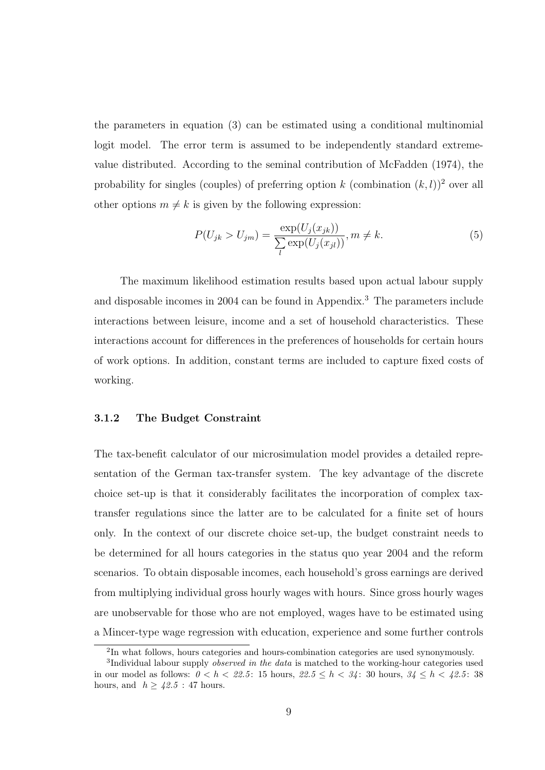the parameters in equation (3) can be estimated using a conditional multinomial logit model. The error term is assumed to be independently standard extremevalue distributed. According to the seminal contribution of McFadden (1974), the probability for singles (couples) of preferring option k (combination  $(k, l)$ )<sup>2</sup> over all other options  $m \neq k$  is given by the following expression:

$$
P(U_{jk} > U_{jm}) = \frac{\exp(U_j(x_{jk}))}{\sum_{l} \exp(U_j(x_{jl}))}, m \neq k.
$$
 (5)

The maximum likelihood estimation results based upon actual labour supply and disposable incomes in 2004 can be found in Appendix.<sup>3</sup> The parameters include interactions between leisure, income and a set of household characteristics. These interactions account for differences in the preferences of households for certain hours of work options. In addition, constant terms are included to capture fixed costs of working.

#### 3.1.2 The Budget Constraint

The tax-benefit calculator of our microsimulation model provides a detailed representation of the German tax-transfer system. The key advantage of the discrete choice set-up is that it considerably facilitates the incorporation of complex taxtransfer regulations since the latter are to be calculated for a finite set of hours only. In the context of our discrete choice set-up, the budget constraint needs to be determined for all hours categories in the status quo year 2004 and the reform scenarios. To obtain disposable incomes, each household's gross earnings are derived from multiplying individual gross hourly wages with hours. Since gross hourly wages are unobservable for those who are not employed, wages have to be estimated using a Mincer-type wage regression with education, experience and some further controls

<sup>&</sup>lt;sup>2</sup>In what follows, hours categories and hours-combination categories are used synonymously.

<sup>&</sup>lt;sup>3</sup>Individual labour supply *observed in the data* is matched to the working-hour categories used in our model as follows:  $0 < h < 22.5$ : 15 hours,  $22.5 \le h < 34$ : 30 hours,  $34 \le h < 42.5$ : 38 hours, and  $h \geq 42.5$ : 47 hours.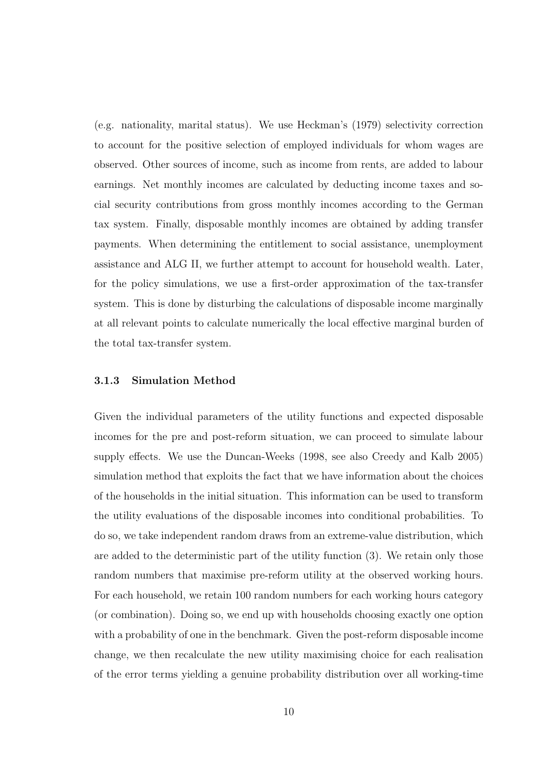(e.g. nationality, marital status). We use Heckman's (1979) selectivity correction to account for the positive selection of employed individuals for whom wages are observed. Other sources of income, such as income from rents, are added to labour earnings. Net monthly incomes are calculated by deducting income taxes and social security contributions from gross monthly incomes according to the German tax system. Finally, disposable monthly incomes are obtained by adding transfer payments. When determining the entitlement to social assistance, unemployment assistance and ALG II, we further attempt to account for household wealth. Later, for the policy simulations, we use a first-order approximation of the tax-transfer system. This is done by disturbing the calculations of disposable income marginally at all relevant points to calculate numerically the local effective marginal burden of the total tax-transfer system.

#### 3.1.3 Simulation Method

Given the individual parameters of the utility functions and expected disposable incomes for the pre and post-reform situation, we can proceed to simulate labour supply effects. We use the Duncan-Weeks (1998, see also Creedy and Kalb 2005) simulation method that exploits the fact that we have information about the choices of the households in the initial situation. This information can be used to transform the utility evaluations of the disposable incomes into conditional probabilities. To do so, we take independent random draws from an extreme-value distribution, which are added to the deterministic part of the utility function (3). We retain only those random numbers that maximise pre-reform utility at the observed working hours. For each household, we retain 100 random numbers for each working hours category (or combination). Doing so, we end up with households choosing exactly one option with a probability of one in the benchmark. Given the post-reform disposable income change, we then recalculate the new utility maximising choice for each realisation of the error terms yielding a genuine probability distribution over all working-time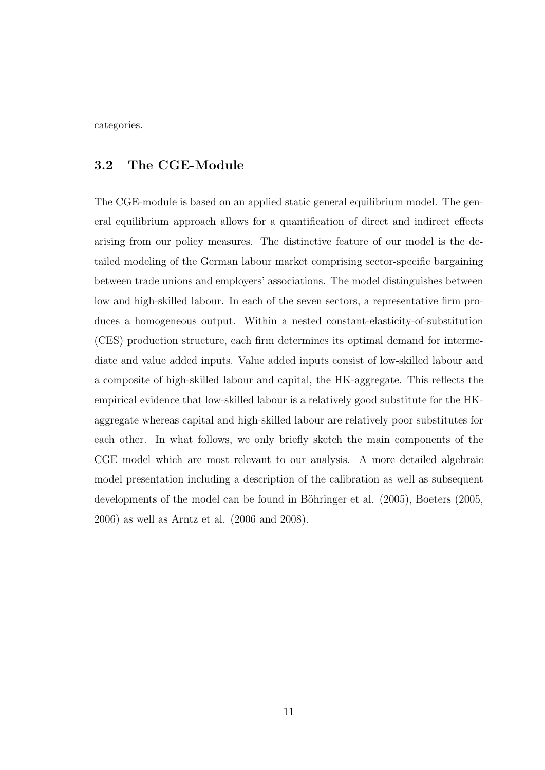categories.

#### 3.2 The CGE-Module

The CGE-module is based on an applied static general equilibrium model. The general equilibrium approach allows for a quantification of direct and indirect effects arising from our policy measures. The distinctive feature of our model is the detailed modeling of the German labour market comprising sector-specific bargaining between trade unions and employers' associations. The model distinguishes between low and high-skilled labour. In each of the seven sectors, a representative firm produces a homogeneous output. Within a nested constant-elasticity-of-substitution (CES) production structure, each firm determines its optimal demand for intermediate and value added inputs. Value added inputs consist of low-skilled labour and a composite of high-skilled labour and capital, the HK-aggregate. This reflects the empirical evidence that low-skilled labour is a relatively good substitute for the HKaggregate whereas capital and high-skilled labour are relatively poor substitutes for each other. In what follows, we only briefly sketch the main components of the CGE model which are most relevant to our analysis. A more detailed algebraic model presentation including a description of the calibration as well as subsequent developments of the model can be found in Böhringer et al. (2005), Boeters (2005, 2006) as well as Arntz et al. (2006 and 2008).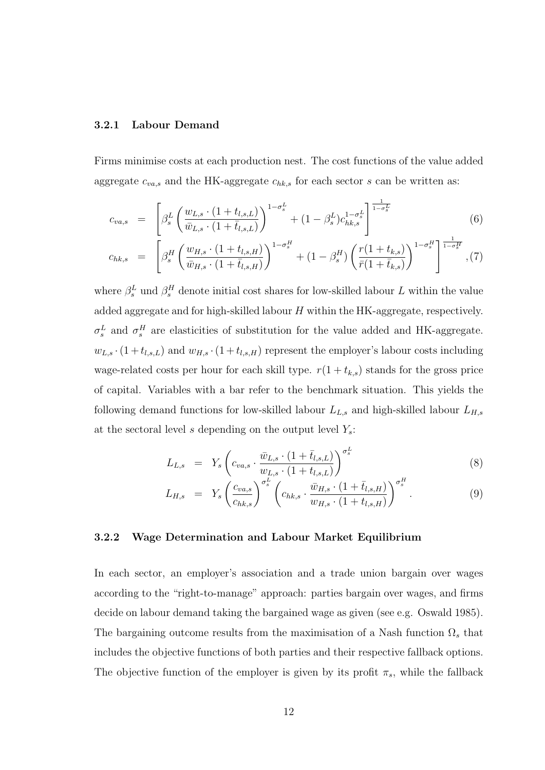#### 3.2.1 Labour Demand

Firms minimise costs at each production nest. The cost functions of the value added aggregate  $c_{va,s}$  and the HK-aggregate  $c_{hk,s}$  for each sector s can be written as:

$$
c_{va,s} = \left[ \beta_s^L \left( \frac{w_{L,s} \cdot (1 + t_{l,s,L})}{\bar{w}_{L,s} \cdot (1 + \bar{t}_{l,s,L})} \right)^{1 - \sigma_s^L} + (1 - \beta_s^L) c_{hk,s}^{1 - \sigma_s^L} \right]^{\frac{1}{1 - \sigma_s^L}}
$$
(6)

$$
c_{hk,s} = \left[ \beta_s^H \left( \frac{w_{H,s} \cdot (1+t_{l,s,H})}{\bar{w}_{H,s} \cdot (1+\bar{t}_{l,s,H})} \right)^{1-\sigma_s^H} + (1-\beta_s^H) \left( \frac{r(1+t_{k,s})}{\bar{r}(1+\bar{t}_{k,s})} \right)^{1-\sigma_s^H} \right]^{\frac{1}{1-\sigma_s^H}}, (7)
$$

where  $\beta_s^L$  und  $\beta_s^H$  denote initial cost shares for low-skilled labour L within the value added aggregate and for high-skilled labour H within the HK-aggregate, respectively.  $\sigma_s^L$  and  $\sigma_s^H$  are elasticities of substitution for the value added and HK-aggregate.  $w_{L,s} \cdot (1+t_{l,s,L})$  and  $w_{H,s} \cdot (1+t_{l,s,H})$  represent the employer's labour costs including wage-related costs per hour for each skill type.  $r(1 + t_{k,s})$  stands for the gross price of capital. Variables with a bar refer to the benchmark situation. This yields the following demand functions for low-skilled labour  $L_{L,s}$  and high-skilled labour  $L_{H,s}$ at the sectoral level s depending on the output level  $Y_s$ :

$$
L_{L,s} = Y_s \left( c_{va,s} \cdot \frac{\bar{w}_{L,s} \cdot (1 + \bar{t}_{l,s,L})}{w_{L,s} \cdot (1 + t_{l,s,L})} \right)^{\sigma_s^L} \tag{8}
$$

$$
L_{H,s} = Y_s \left( \frac{c_{va,s}}{c_{hk,s}} \right)^{\sigma_s^L} \left( c_{hk,s} \cdot \frac{\bar{w}_{H,s} \cdot (1 + \bar{t}_{l,s,H})}{w_{H,s} \cdot (1 + t_{l,s,H})} \right)^{\sigma_s^H} . \tag{9}
$$

#### 3.2.2 Wage Determination and Labour Market Equilibrium

In each sector, an employer's association and a trade union bargain over wages according to the "right-to-manage" approach: parties bargain over wages, and firms decide on labour demand taking the bargained wage as given (see e.g. Oswald 1985). The bargaining outcome results from the maximisation of a Nash function  $\Omega_s$  that includes the objective functions of both parties and their respective fallback options. The objective function of the employer is given by its profit  $\pi_s$ , while the fallback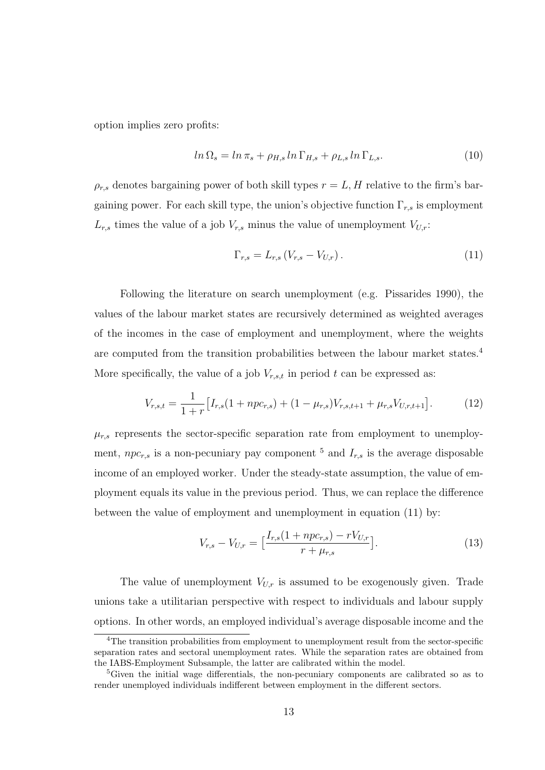option implies zero profits:

$$
ln \Omega_s = ln \pi_s + \rho_{H,s} ln \Gamma_{H,s} + \rho_{L,s} ln \Gamma_{L,s}.
$$
\n(10)

 $\rho_{r,s}$  denotes bargaining power of both skill types  $r = L, H$  relative to the firm's bargaining power. For each skill type, the union's objective function  $\Gamma_{r,s}$  is employment  $L_{r,s}$  times the value of a job  $V_{r,s}$  minus the value of unemployment  $V_{U,r}$ :

$$
\Gamma_{r,s} = L_{r,s} \left( V_{r,s} - V_{U,r} \right). \tag{11}
$$

Following the literature on search unemployment (e.g. Pissarides 1990), the values of the labour market states are recursively determined as weighted averages of the incomes in the case of employment and unemployment, where the weights are computed from the transition probabilities between the labour market states.<sup>4</sup> More specifically, the value of a job  $V_{r,s,t}$  in period t can be expressed as:

$$
V_{r,s,t} = \frac{1}{1+r} \left[ I_{r,s}(1+np c_{r,s}) + (1-\mu_{r,s}) V_{r,s,t+1} + \mu_{r,s} V_{U,r,t+1} \right]. \tag{12}
$$

 $\mu_{r,s}$  represents the sector-specific separation rate from employment to unemployment,  $npc_{r,s}$  is a non-pecuniary pay component <sup>5</sup> and  $I_{r,s}$  is the average disposable income of an employed worker. Under the steady-state assumption, the value of employment equals its value in the previous period. Thus, we can replace the difference between the value of employment and unemployment in equation (11) by:

$$
V_{r,s} - V_{U,r} = \left[\frac{I_{r,s}(1 + npc_{r,s}) - rV_{U,r}}{r + \mu_{r,s}}\right].
$$
\n(13)

The value of unemployment  $V_{U,r}$  is assumed to be exogenously given. Trade unions take a utilitarian perspective with respect to individuals and labour supply options. In other words, an employed individual's average disposable income and the

<sup>&</sup>lt;sup>4</sup>The transition probabilities from employment to unemployment result from the sector-specific separation rates and sectoral unemployment rates. While the separation rates are obtained from the IABS-Employment Subsample, the latter are calibrated within the model.

<sup>&</sup>lt;sup>5</sup>Given the initial wage differentials, the non-pecuniary components are calibrated so as to render unemployed individuals indifferent between employment in the different sectors.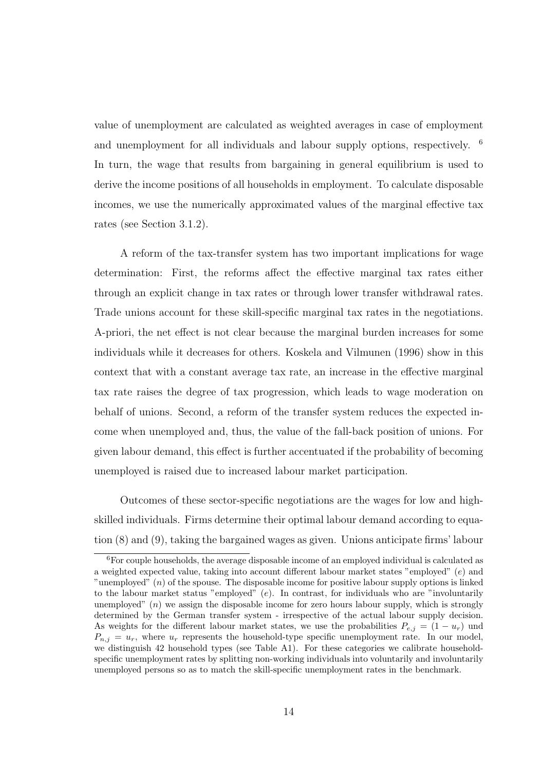value of unemployment are calculated as weighted averages in case of employment and unemployment for all individuals and labour supply options, respectively. <sup>6</sup> In turn, the wage that results from bargaining in general equilibrium is used to derive the income positions of all households in employment. To calculate disposable incomes, we use the numerically approximated values of the marginal effective tax rates (see Section 3.1.2).

A reform of the tax-transfer system has two important implications for wage determination: First, the reforms affect the effective marginal tax rates either through an explicit change in tax rates or through lower transfer withdrawal rates. Trade unions account for these skill-specific marginal tax rates in the negotiations. A-priori, the net effect is not clear because the marginal burden increases for some individuals while it decreases for others. Koskela and Vilmunen (1996) show in this context that with a constant average tax rate, an increase in the effective marginal tax rate raises the degree of tax progression, which leads to wage moderation on behalf of unions. Second, a reform of the transfer system reduces the expected income when unemployed and, thus, the value of the fall-back position of unions. For given labour demand, this effect is further accentuated if the probability of becoming unemployed is raised due to increased labour market participation.

Outcomes of these sector-specific negotiations are the wages for low and highskilled individuals. Firms determine their optimal labour demand according to equation (8) and (9), taking the bargained wages as given. Unions anticipate firms' labour

<sup>&</sup>lt;sup>6</sup>For couple households, the average disposable income of an employed individual is calculated as a weighted expected value, taking into account different labour market states "employed" (e) and "unemployed" (n) of the spouse. The disposable income for positive labour supply options is linked to the labour market status "employed"  $(e)$ . In contrast, for individuals who are "involuntarily unemployed"  $(n)$  we assign the disposable income for zero hours labour supply, which is strongly determined by the German transfer system - irrespective of the actual labour supply decision. As weights for the different labour market states, we use the probabilities  $P_{e,i} = (1 - u_r)$  und  $P_{n,j} = u_r$ , where  $u_r$  represents the household-type specific unemployment rate. In our model, we distinguish 42 household types (see Table A1). For these categories we calibrate householdspecific unemployment rates by splitting non-working individuals into voluntarily and involuntarily unemployed persons so as to match the skill-specific unemployment rates in the benchmark.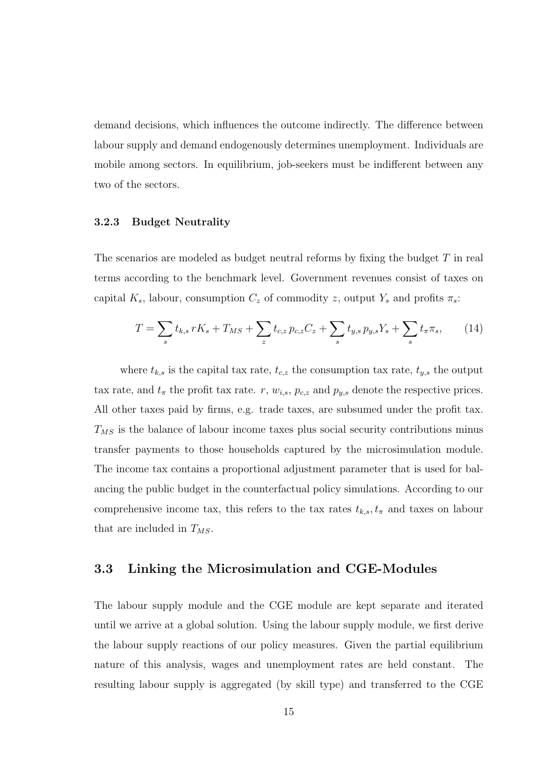demand decisions, which influences the outcome indirectly. The difference between labour supply and demand endogenously determines unemployment. Individuals are mobile among sectors. In equilibrium, job-seekers must be indifferent between any two of the sectors.

#### 3.2.3 Budget Neutrality

The scenarios are modeled as budget neutral reforms by fixing the budget  $T$  in real terms according to the benchmark level. Government revenues consist of taxes on capital  $K_s$ , labour, consumption  $C_z$  of commodity z, output  $Y_s$  and profits  $\pi_s$ :

$$
T = \sum_{s} t_{k,s} rK_s + T_{MS} + \sum_{z} t_{c,z} p_{c,z} C_z + \sum_{s} t_{y,s} p_{y,s} Y_s + \sum_{s} t_{\pi} \pi_s, \qquad (14)
$$

where  $t_{k,s}$  is the capital tax rate,  $t_{c,z}$  the consumption tax rate,  $t_{y,s}$  the output tax rate, and  $t_{\pi}$  the profit tax rate. r,  $w_{i,s}$ ,  $p_{c,z}$  and  $p_{y,s}$  denote the respective prices. All other taxes paid by firms, e.g. trade taxes, are subsumed under the profit tax.  $T_{MS}$  is the balance of labour income taxes plus social security contributions minus transfer payments to those households captured by the microsimulation module. The income tax contains a proportional adjustment parameter that is used for balancing the public budget in the counterfactual policy simulations. According to our comprehensive income tax, this refers to the tax rates  $t_{k,s}$ ,  $t_{\pi}$  and taxes on labour that are included in  $T_{MS}$ .

#### 3.3 Linking the Microsimulation and CGE-Modules

The labour supply module and the CGE module are kept separate and iterated until we arrive at a global solution. Using the labour supply module, we first derive the labour supply reactions of our policy measures. Given the partial equilibrium nature of this analysis, wages and unemployment rates are held constant. The resulting labour supply is aggregated (by skill type) and transferred to the CGE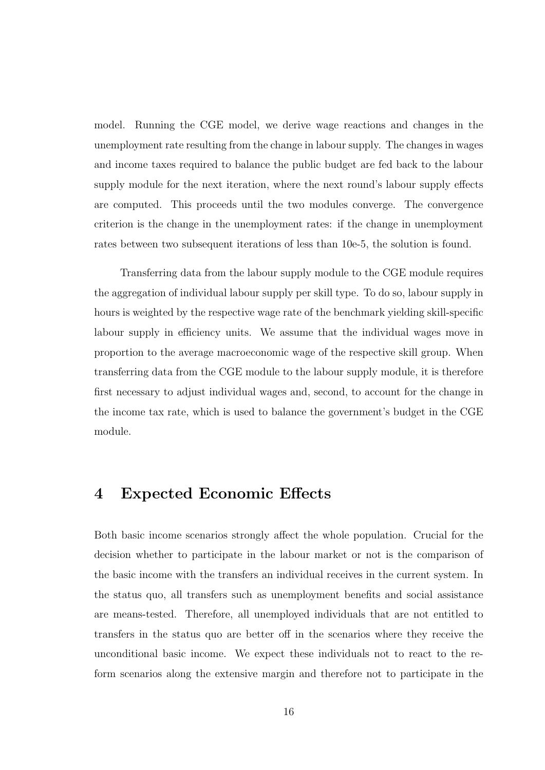model. Running the CGE model, we derive wage reactions and changes in the unemployment rate resulting from the change in labour supply. The changes in wages and income taxes required to balance the public budget are fed back to the labour supply module for the next iteration, where the next round's labour supply effects are computed. This proceeds until the two modules converge. The convergence criterion is the change in the unemployment rates: if the change in unemployment rates between two subsequent iterations of less than 10e-5, the solution is found.

Transferring data from the labour supply module to the CGE module requires the aggregation of individual labour supply per skill type. To do so, labour supply in hours is weighted by the respective wage rate of the benchmark yielding skill-specific labour supply in efficiency units. We assume that the individual wages move in proportion to the average macroeconomic wage of the respective skill group. When transferring data from the CGE module to the labour supply module, it is therefore first necessary to adjust individual wages and, second, to account for the change in the income tax rate, which is used to balance the government's budget in the CGE module.

### 4 Expected Economic Effects

Both basic income scenarios strongly affect the whole population. Crucial for the decision whether to participate in the labour market or not is the comparison of the basic income with the transfers an individual receives in the current system. In the status quo, all transfers such as unemployment benefits and social assistance are means-tested. Therefore, all unemployed individuals that are not entitled to transfers in the status quo are better off in the scenarios where they receive the unconditional basic income. We expect these individuals not to react to the reform scenarios along the extensive margin and therefore not to participate in the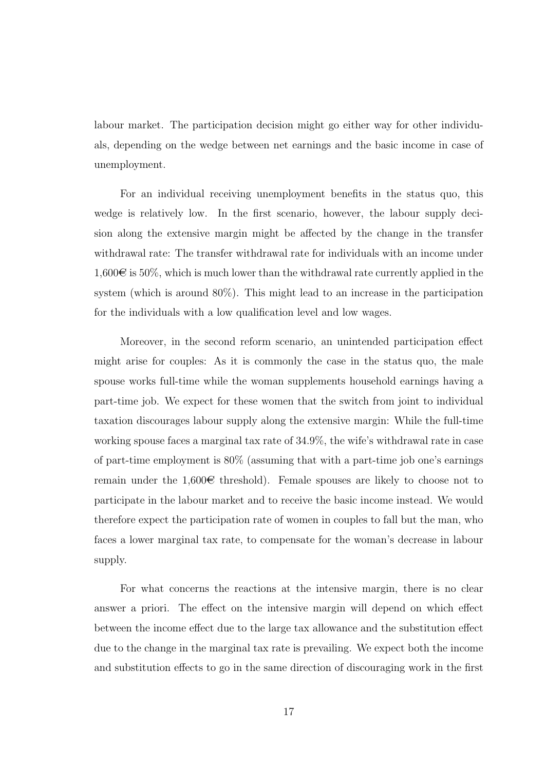labour market. The participation decision might go either way for other individuals, depending on the wedge between net earnings and the basic income in case of unemployment.

For an individual receiving unemployment benefits in the status quo, this wedge is relatively low. In the first scenario, however, the labour supply decision along the extensive margin might be affected by the change in the transfer withdrawal rate: The transfer withdrawal rate for individuals with an income under  $1,600\in$  is 50%, which is much lower than the withdrawal rate currently applied in the system (which is around 80%). This might lead to an increase in the participation for the individuals with a low qualification level and low wages.

Moreover, in the second reform scenario, an unintended participation effect might arise for couples: As it is commonly the case in the status quo, the male spouse works full-time while the woman supplements household earnings having a part-time job. We expect for these women that the switch from joint to individual taxation discourages labour supply along the extensive margin: While the full-time working spouse faces a marginal tax rate of 34.9%, the wife's withdrawal rate in case of part-time employment is 80% (assuming that with a part-time job one's earnings remain under the 1,600 $\in$  threshold). Female spouses are likely to choose not to participate in the labour market and to receive the basic income instead. We would therefore expect the participation rate of women in couples to fall but the man, who faces a lower marginal tax rate, to compensate for the woman's decrease in labour supply.

For what concerns the reactions at the intensive margin, there is no clear answer a priori. The effect on the intensive margin will depend on which effect between the income effect due to the large tax allowance and the substitution effect due to the change in the marginal tax rate is prevailing. We expect both the income and substitution effects to go in the same direction of discouraging work in the first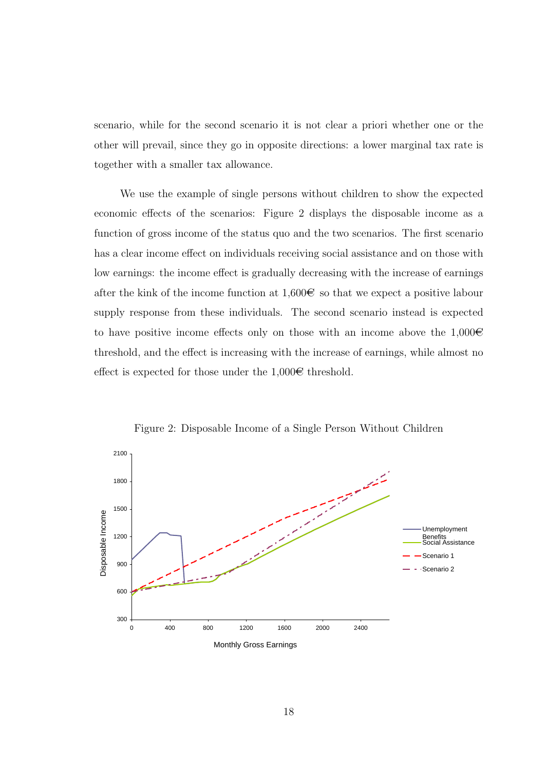scenario, while for the second scenario it is not clear a priori whether one or the other will prevail, since they go in opposite directions: a lower marginal tax rate is together with a smaller tax allowance.

We use the example of single persons without children to show the expected economic effects of the scenarios: Figure 2 displays the disposable income as a function of gross income of the status quo and the two scenarios. The first scenario has a clear income effect on individuals receiving social assistance and on those with low earnings: the income effect is gradually decreasing with the increase of earnings after the kink of the income function at  $1,600\infty$  so that we expect a positive labour supply response from these individuals. The second scenario instead is expected to have positive income effects only on those with an income above the  $1,000\in$ threshold, and the effect is increasing with the increase of earnings, while almost no effect is expected for those under the  $1,000\in$  threshold.



Figure 2: Disposable Income of a Single Person Without Children

18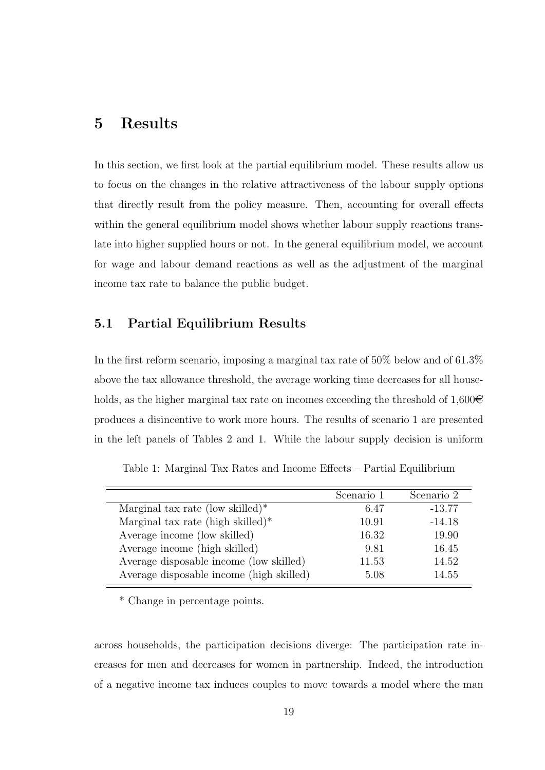# 5 Results

In this section, we first look at the partial equilibrium model. These results allow us to focus on the changes in the relative attractiveness of the labour supply options that directly result from the policy measure. Then, accounting for overall effects within the general equilibrium model shows whether labour supply reactions translate into higher supplied hours or not. In the general equilibrium model, we account for wage and labour demand reactions as well as the adjustment of the marginal income tax rate to balance the public budget.

#### 5.1 Partial Equilibrium Results

In the first reform scenario, imposing a marginal tax rate of 50% below and of 61.3% above the tax allowance threshold, the average working time decreases for all households, as the higher marginal tax rate on incomes exceeding the threshold of 1,600 $\in$ produces a disincentive to work more hours. The results of scenario 1 are presented in the left panels of Tables 2 and 1. While the labour supply decision is uniform

|                                          | Scenario 1 | Scenario 2 |
|------------------------------------------|------------|------------|
| Marginal tax rate (low skilled)*         | 6.47       | $-13.77$   |
| Marginal tax rate (high skilled) $*$     | 10.91      | $-14.18$   |
| Average income (low skilled)             | 16.32      | 19.90      |
| Average income (high skilled)            | 9.81       | 16.45      |
| Average disposable income (low skilled)  | 11.53      | 14.52      |
| Average disposable income (high skilled) | 5.08       | 14.55      |
|                                          |            |            |

Table 1: Marginal Tax Rates and Income Effects – Partial Equilibrium

\* Change in percentage points.

across households, the participation decisions diverge: The participation rate increases for men and decreases for women in partnership. Indeed, the introduction of a negative income tax induces couples to move towards a model where the man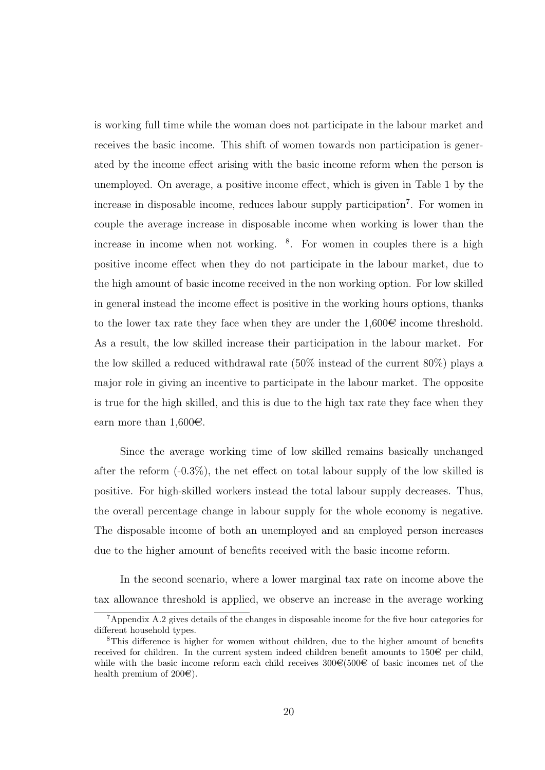is working full time while the woman does not participate in the labour market and receives the basic income. This shift of women towards non participation is generated by the income effect arising with the basic income reform when the person is unemployed. On average, a positive income effect, which is given in Table 1 by the increase in disposable income, reduces labour supply participation<sup>7</sup>. For women in couple the average increase in disposable income when working is lower than the increase in income when not working. <sup>8</sup> . For women in couples there is a high positive income effect when they do not participate in the labour market, due to the high amount of basic income received in the non working option. For low skilled in general instead the income effect is positive in the working hours options, thanks to the lower tax rate they face when they are under the  $1,600\in$  income threshold. As a result, the low skilled increase their participation in the labour market. For the low skilled a reduced withdrawal rate (50% instead of the current 80%) plays a major role in giving an incentive to participate in the labour market. The opposite is true for the high skilled, and this is due to the high tax rate they face when they earn more than  $1,600 \in$ .

Since the average working time of low skilled remains basically unchanged after the reform  $(-0.3\%)$ , the net effect on total labour supply of the low skilled is positive. For high-skilled workers instead the total labour supply decreases. Thus, the overall percentage change in labour supply for the whole economy is negative. The disposable income of both an unemployed and an employed person increases due to the higher amount of benefits received with the basic income reform.

In the second scenario, where a lower marginal tax rate on income above the tax allowance threshold is applied, we observe an increase in the average working

<sup>7</sup>Appendix A.2 gives details of the changes in disposable income for the five hour categories for different household types.

<sup>8</sup>This difference is higher for women without children, due to the higher amount of benefits received for children. In the current system indeed children benefit amounts to  $150\epsilon$  per child, while with the basic income reform each child receives  $300\text{C}(500\text{C})$  of basic incomes net of the health premium of  $200\epsilon$ ).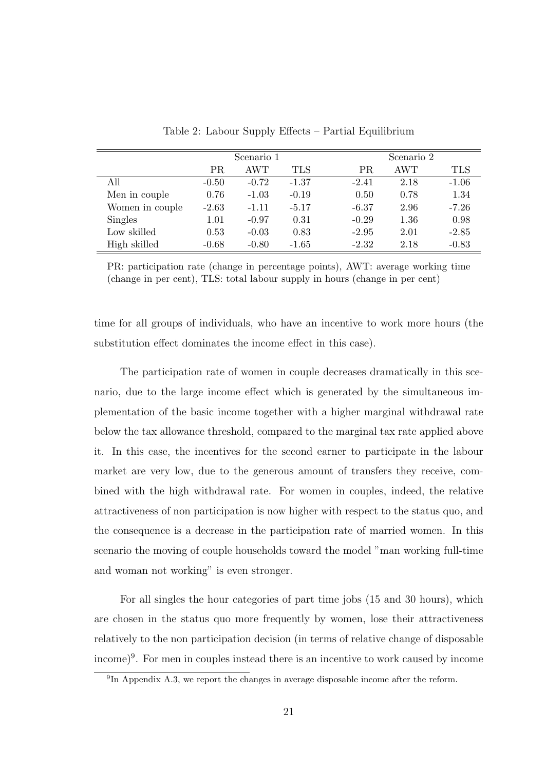|                 |         | Scenario 1 |         |           | Scenario 2 |         |  |
|-----------------|---------|------------|---------|-----------|------------|---------|--|
|                 | PR      | AWT        | TLS     | <b>PR</b> | <b>AWT</b> | TLS     |  |
| All             | $-0.50$ | $-0.72$    | $-1.37$ | $-2.41$   | 2.18       | $-1.06$ |  |
| Men in couple   | 0.76    | $-1.03$    | $-0.19$ | 0.50      | 0.78       | 1.34    |  |
| Women in couple | $-2.63$ | $-1.11$    | $-5.17$ | $-6.37$   | 2.96       | $-7.26$ |  |
| Singles         | 1.01    | $-0.97$    | 0.31    | $-0.29$   | 1.36       | 0.98    |  |
| Low skilled     | 0.53    | $-0.03$    | 0.83    | $-2.95$   | 2.01       | $-2.85$ |  |
| High skilled    | $-0.68$ | $-0.80$    | $-1.65$ | $-2.32$   | 2.18       | $-0.83$ |  |

Table 2: Labour Supply Effects – Partial Equilibrium

PR: participation rate (change in percentage points), AWT: average working time (change in per cent), TLS: total labour supply in hours (change in per cent)

time for all groups of individuals, who have an incentive to work more hours (the substitution effect dominates the income effect in this case).

The participation rate of women in couple decreases dramatically in this scenario, due to the large income effect which is generated by the simultaneous implementation of the basic income together with a higher marginal withdrawal rate below the tax allowance threshold, compared to the marginal tax rate applied above it. In this case, the incentives for the second earner to participate in the labour market are very low, due to the generous amount of transfers they receive, combined with the high withdrawal rate. For women in couples, indeed, the relative attractiveness of non participation is now higher with respect to the status quo, and the consequence is a decrease in the participation rate of married women. In this scenario the moving of couple households toward the model "man working full-time and woman not working" is even stronger.

For all singles the hour categories of part time jobs (15 and 30 hours), which are chosen in the status quo more frequently by women, lose their attractiveness relatively to the non participation decision (in terms of relative change of disposable income)<sup>9</sup> . For men in couples instead there is an incentive to work caused by income

<sup>&</sup>lt;sup>9</sup>In Appendix A.3, we report the changes in average disposable income after the reform.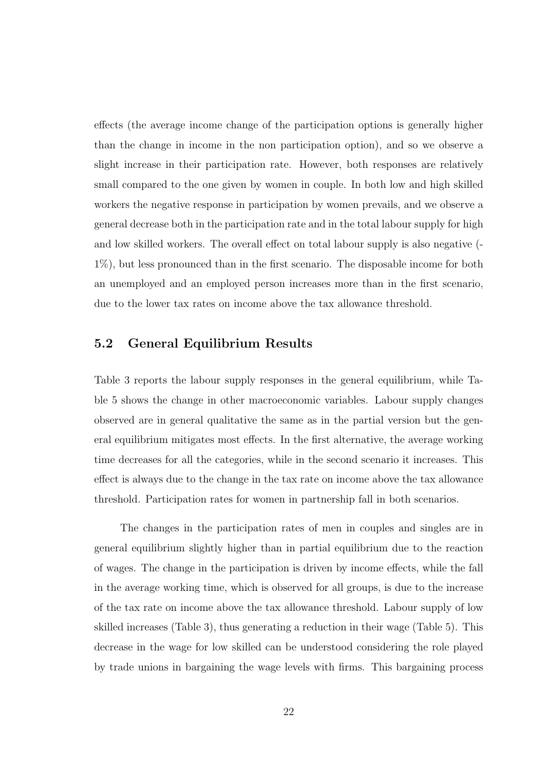effects (the average income change of the participation options is generally higher than the change in income in the non participation option), and so we observe a slight increase in their participation rate. However, both responses are relatively small compared to the one given by women in couple. In both low and high skilled workers the negative response in participation by women prevails, and we observe a general decrease both in the participation rate and in the total labour supply for high and low skilled workers. The overall effect on total labour supply is also negative (- 1%), but less pronounced than in the first scenario. The disposable income for both an unemployed and an employed person increases more than in the first scenario, due to the lower tax rates on income above the tax allowance threshold.

#### 5.2 General Equilibrium Results

Table 3 reports the labour supply responses in the general equilibrium, while Table 5 shows the change in other macroeconomic variables. Labour supply changes observed are in general qualitative the same as in the partial version but the general equilibrium mitigates most effects. In the first alternative, the average working time decreases for all the categories, while in the second scenario it increases. This effect is always due to the change in the tax rate on income above the tax allowance threshold. Participation rates for women in partnership fall in both scenarios.

The changes in the participation rates of men in couples and singles are in general equilibrium slightly higher than in partial equilibrium due to the reaction of wages. The change in the participation is driven by income effects, while the fall in the average working time, which is observed for all groups, is due to the increase of the tax rate on income above the tax allowance threshold. Labour supply of low skilled increases (Table 3), thus generating a reduction in their wage (Table 5). This decrease in the wage for low skilled can be understood considering the role played by trade unions in bargaining the wage levels with firms. This bargaining process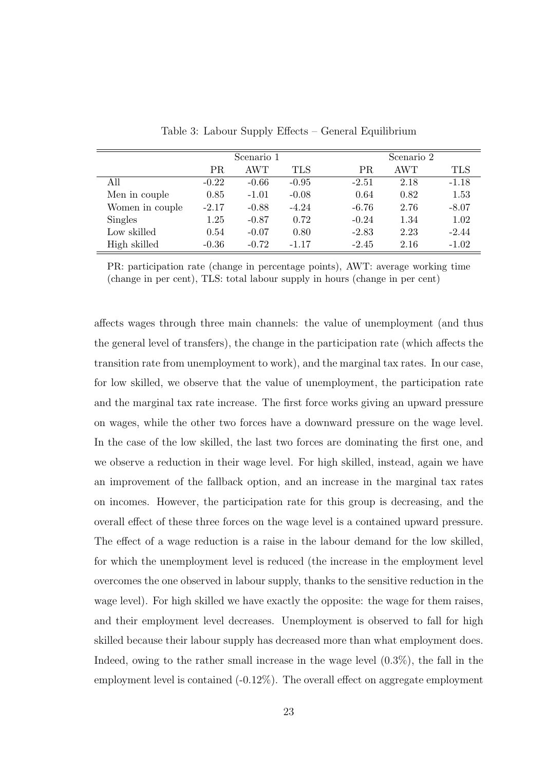|                 | Scenario 1 |         |            |         | Scenario 2 |         |  |
|-----------------|------------|---------|------------|---------|------------|---------|--|
|                 | PR.        | AWT     | <b>TLS</b> | PR.     | AWT        | TLS     |  |
| All             | $-0.22$    | $-0.66$ | $-0.95$    | $-2.51$ | 2.18       | $-1.18$ |  |
| Men in couple   | 0.85       | $-1.01$ | $-0.08$    | 0.64    | 0.82       | 1.53    |  |
| Women in couple | $-2.17$    | $-0.88$ | $-4.24$    | $-6.76$ | 2.76       | $-8.07$ |  |
| Singles         | 1.25       | $-0.87$ | 0.72       | $-0.24$ | 1.34       | 1.02    |  |
| Low skilled     | 0.54       | $-0.07$ | 0.80       | $-2.83$ | 2.23       | $-2.44$ |  |
| High skilled    | $-0.36$    | $-0.72$ | $-1.17$    | $-2.45$ | 2.16       | $-1.02$ |  |

Table 3: Labour Supply Effects – General Equilibrium

PR: participation rate (change in percentage points), AWT: average working time (change in per cent), TLS: total labour supply in hours (change in per cent)

affects wages through three main channels: the value of unemployment (and thus the general level of transfers), the change in the participation rate (which affects the transition rate from unemployment to work), and the marginal tax rates. In our case, for low skilled, we observe that the value of unemployment, the participation rate and the marginal tax rate increase. The first force works giving an upward pressure on wages, while the other two forces have a downward pressure on the wage level. In the case of the low skilled, the last two forces are dominating the first one, and we observe a reduction in their wage level. For high skilled, instead, again we have an improvement of the fallback option, and an increase in the marginal tax rates on incomes. However, the participation rate for this group is decreasing, and the overall effect of these three forces on the wage level is a contained upward pressure. The effect of a wage reduction is a raise in the labour demand for the low skilled, for which the unemployment level is reduced (the increase in the employment level overcomes the one observed in labour supply, thanks to the sensitive reduction in the wage level). For high skilled we have exactly the opposite: the wage for them raises, and their employment level decreases. Unemployment is observed to fall for high skilled because their labour supply has decreased more than what employment does. Indeed, owing to the rather small increase in the wage level (0.3%), the fall in the employment level is contained  $(-0.12\%)$ . The overall effect on aggregate employment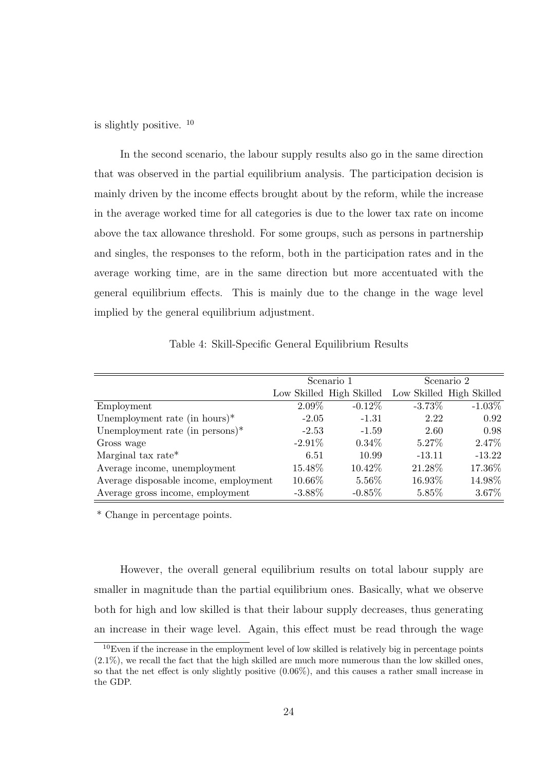is slightly positive. <sup>10</sup>

In the second scenario, the labour supply results also go in the same direction that was observed in the partial equilibrium analysis. The participation decision is mainly driven by the income effects brought about by the reform, while the increase in the average worked time for all categories is due to the lower tax rate on income above the tax allowance threshold. For some groups, such as persons in partnership and singles, the responses to the reform, both in the participation rates and in the average working time, are in the same direction but more accentuated with the general equilibrium effects. This is mainly due to the change in the wage level implied by the general equilibrium adjustment.

Table 4: Skill-Specific General Equilibrium Results

|                                       |           | Scenario 1                                        | Scenario 2 |           |  |
|---------------------------------------|-----------|---------------------------------------------------|------------|-----------|--|
|                                       |           | Low Skilled High Skilled Low Skilled High Skilled |            |           |  |
| Employment                            | 2.09%     | $-0.12\%$                                         | $-3.73\%$  | $-1.03\%$ |  |
| Unemployment rate (in hours) $*$      | $-2.05$   | $-1.31$                                           | 2.22       | 0.92      |  |
| Unemployment rate (in persons) $*$    | $-2.53$   | $-1.59$                                           | 2.60       | 0.98      |  |
| Gross wage                            | $-2.91\%$ | $0.34\%$                                          | $5.27\%$   | 2.47\%    |  |
| Marginal tax rate*                    | 6.51      | 10.99                                             | $-13.11$   | $-13.22$  |  |
| Average income, unemployment          | 15.48\%   | 10.42\%                                           | 21.28\%    | 17.36%    |  |
| Average disposable income, employment | 10.66\%   | 5.56%                                             | 16.93%     | 14.98%    |  |
| Average gross income, employment      | $-3.88\%$ | $-0.85\%$                                         | 5.85%      | 3.67%     |  |

\* Change in percentage points.

However, the overall general equilibrium results on total labour supply are smaller in magnitude than the partial equilibrium ones. Basically, what we observe both for high and low skilled is that their labour supply decreases, thus generating an increase in their wage level. Again, this effect must be read through the wage

 $10E$ ven if the increase in the employment level of low skilled is relatively big in percentage points (2.1%), we recall the fact that the high skilled are much more numerous than the low skilled ones, so that the net effect is only slightly positive (0.06%), and this causes a rather small increase in the GDP.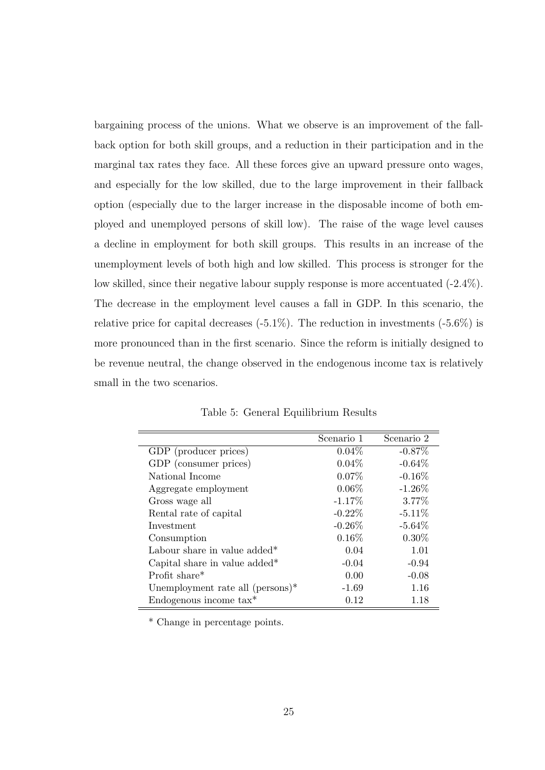bargaining process of the unions. What we observe is an improvement of the fallback option for both skill groups, and a reduction in their participation and in the marginal tax rates they face. All these forces give an upward pressure onto wages, and especially for the low skilled, due to the large improvement in their fallback option (especially due to the larger increase in the disposable income of both employed and unemployed persons of skill low). The raise of the wage level causes a decline in employment for both skill groups. This results in an increase of the unemployment levels of both high and low skilled. This process is stronger for the low skilled, since their negative labour supply response is more accentuated (-2.4%). The decrease in the employment level causes a fall in GDP. In this scenario, the relative price for capital decreases  $(-5.1\%)$ . The reduction in investments  $(-5.6\%)$  is more pronounced than in the first scenario. Since the reform is initially designed to be revenue neutral, the change observed in the endogenous income tax is relatively small in the two scenarios.

|                                            | Scenario 1 | Scenario 2 |
|--------------------------------------------|------------|------------|
| GDP (producer prices)                      | $0.04\%$   | $-0.87\%$  |
| GDP (consumer prices)                      | $0.04\%$   | $-0.64\%$  |
| National Income                            | $0.07\%$   | $-0.16%$   |
| Aggregate employment                       | $0.06\%$   | $-1.26%$   |
| Gross wage all                             | $-1.17%$   | 3.77%      |
| Rental rate of capital                     | $-0.22\%$  | $-5.11%$   |
| Investment                                 | $-0.26\%$  | $-5.64\%$  |
| Consumption                                | $0.16\%$   | $0.30\%$   |
| Labour share in value added*               | 0.04       | 1.01       |
| Capital share in value added <sup>*</sup>  | $-0.04$    | $-0.94$    |
| Profit share $*$                           | 0.00       | $-0.08$    |
| Unemployment rate all $(\text{persons})^*$ | $-1.69$    | 1.16       |
| Endogenous income $\text{tax}^*$           | 0.12       | 1.18       |

Table 5: General Equilibrium Results

\* Change in percentage points.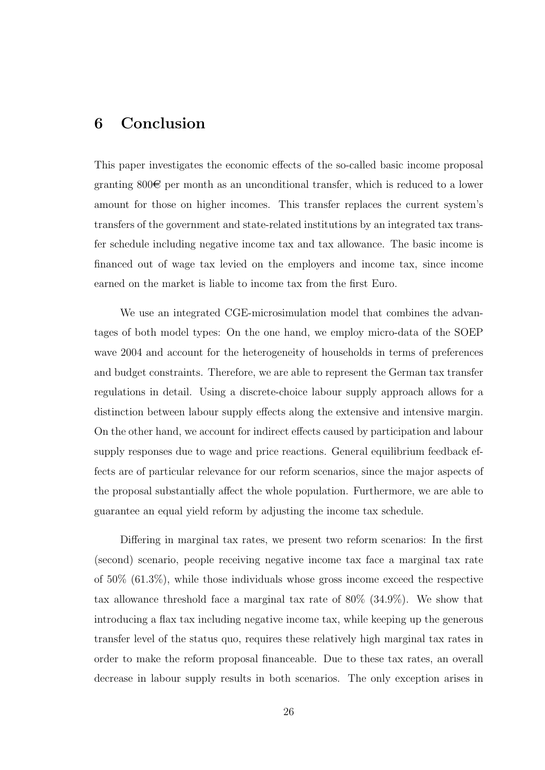# 6 Conclusion

This paper investigates the economic effects of the so-called basic income proposal granting  $800\epsilon$  per month as an unconditional transfer, which is reduced to a lower amount for those on higher incomes. This transfer replaces the current system's transfers of the government and state-related institutions by an integrated tax transfer schedule including negative income tax and tax allowance. The basic income is financed out of wage tax levied on the employers and income tax, since income earned on the market is liable to income tax from the first Euro.

We use an integrated CGE-microsimulation model that combines the advantages of both model types: On the one hand, we employ micro-data of the SOEP wave 2004 and account for the heterogeneity of households in terms of preferences and budget constraints. Therefore, we are able to represent the German tax transfer regulations in detail. Using a discrete-choice labour supply approach allows for a distinction between labour supply effects along the extensive and intensive margin. On the other hand, we account for indirect effects caused by participation and labour supply responses due to wage and price reactions. General equilibrium feedback effects are of particular relevance for our reform scenarios, since the major aspects of the proposal substantially affect the whole population. Furthermore, we are able to guarantee an equal yield reform by adjusting the income tax schedule.

Differing in marginal tax rates, we present two reform scenarios: In the first (second) scenario, people receiving negative income tax face a marginal tax rate of 50% (61.3%), while those individuals whose gross income exceed the respective tax allowance threshold face a marginal tax rate of 80% (34.9%). We show that introducing a flax tax including negative income tax, while keeping up the generous transfer level of the status quo, requires these relatively high marginal tax rates in order to make the reform proposal financeable. Due to these tax rates, an overall decrease in labour supply results in both scenarios. The only exception arises in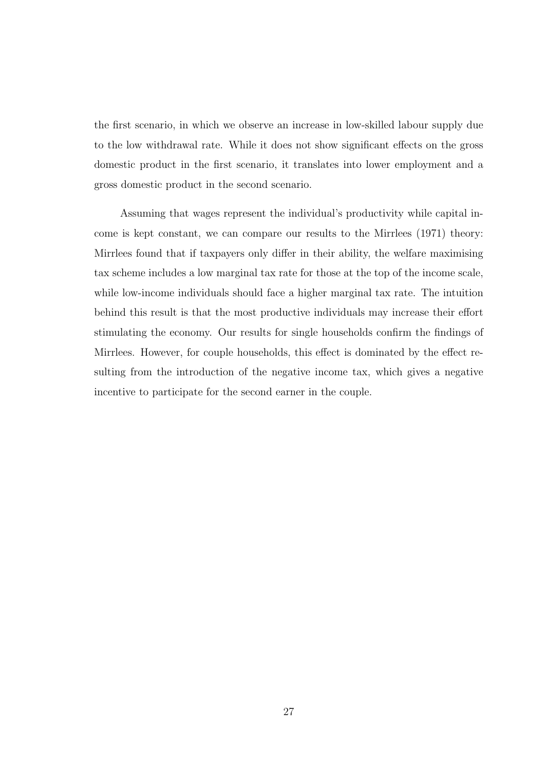the first scenario, in which we observe an increase in low-skilled labour supply due to the low withdrawal rate. While it does not show significant effects on the gross domestic product in the first scenario, it translates into lower employment and a gross domestic product in the second scenario.

Assuming that wages represent the individual's productivity while capital income is kept constant, we can compare our results to the Mirrlees (1971) theory: Mirrlees found that if taxpayers only differ in their ability, the welfare maximising tax scheme includes a low marginal tax rate for those at the top of the income scale, while low-income individuals should face a higher marginal tax rate. The intuition behind this result is that the most productive individuals may increase their effort stimulating the economy. Our results for single households confirm the findings of Mirrlees. However, for couple households, this effect is dominated by the effect resulting from the introduction of the negative income tax, which gives a negative incentive to participate for the second earner in the couple.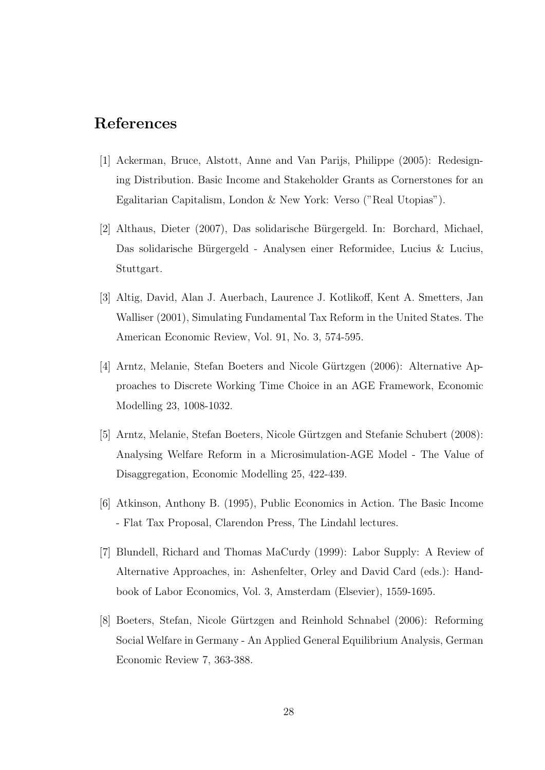# References

- [1] Ackerman, Bruce, Alstott, Anne and Van Parijs, Philippe (2005): Redesigning Distribution. Basic Income and Stakeholder Grants as Cornerstones for an Egalitarian Capitalism, London & New York: Verso ("Real Utopias").
- [2] Althaus, Dieter (2007), Das solidarische Bürgergeld. In: Borchard, Michael, Das solidarische Bürgergeld - Analysen einer Reformidee, Lucius & Lucius, Stuttgart.
- [3] Altig, David, Alan J. Auerbach, Laurence J. Kotlikoff, Kent A. Smetters, Jan Walliser (2001), Simulating Fundamental Tax Reform in the United States. The American Economic Review, Vol. 91, No. 3, 574-595.
- [4] Arntz, Melanie, Stefan Boeters and Nicole Gürtzgen (2006): Alternative Approaches to Discrete Working Time Choice in an AGE Framework, Economic Modelling 23, 1008-1032.
- [5] Arntz, Melanie, Stefan Boeters, Nicole G¨urtzgen and Stefanie Schubert (2008): Analysing Welfare Reform in a Microsimulation-AGE Model - The Value of Disaggregation, Economic Modelling 25, 422-439.
- [6] Atkinson, Anthony B. (1995), Public Economics in Action. The Basic Income - Flat Tax Proposal, Clarendon Press, The Lindahl lectures.
- [7] Blundell, Richard and Thomas MaCurdy (1999): Labor Supply: A Review of Alternative Approaches, in: Ashenfelter, Orley and David Card (eds.): Handbook of Labor Economics, Vol. 3, Amsterdam (Elsevier), 1559-1695.
- [8] Boeters, Stefan, Nicole Gürtzgen and Reinhold Schnabel (2006): Reforming Social Welfare in Germany - An Applied General Equilibrium Analysis, German Economic Review 7, 363-388.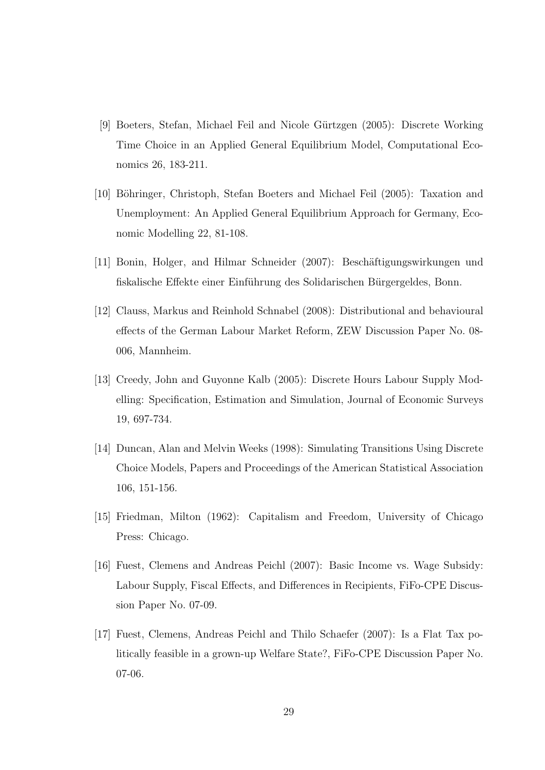- [9] Boeters, Stefan, Michael Feil and Nicole G¨urtzgen (2005): Discrete Working Time Choice in an Applied General Equilibrium Model, Computational Economics 26, 183-211.
- [10] Böhringer, Christoph, Stefan Boeters and Michael Feil (2005): Taxation and Unemployment: An Applied General Equilibrium Approach for Germany, Economic Modelling 22, 81-108.
- [11] Bonin, Holger, and Hilmar Schneider (2007): Beschäftigungswirkungen und fiskalische Effekte einer Einführung des Solidarischen Bürgergeldes, Bonn.
- [12] Clauss, Markus and Reinhold Schnabel (2008): Distributional and behavioural effects of the German Labour Market Reform, ZEW Discussion Paper No. 08- 006, Mannheim.
- [13] Creedy, John and Guyonne Kalb (2005): Discrete Hours Labour Supply Modelling: Specification, Estimation and Simulation, Journal of Economic Surveys 19, 697-734.
- [14] Duncan, Alan and Melvin Weeks (1998): Simulating Transitions Using Discrete Choice Models, Papers and Proceedings of the American Statistical Association 106, 151-156.
- [15] Friedman, Milton (1962): Capitalism and Freedom, University of Chicago Press: Chicago.
- [16] Fuest, Clemens and Andreas Peichl (2007): Basic Income vs. Wage Subsidy: Labour Supply, Fiscal Effects, and Differences in Recipients, FiFo-CPE Discussion Paper No. 07-09.
- [17] Fuest, Clemens, Andreas Peichl and Thilo Schaefer (2007): Is a Flat Tax politically feasible in a grown-up Welfare State?, FiFo-CPE Discussion Paper No. 07-06.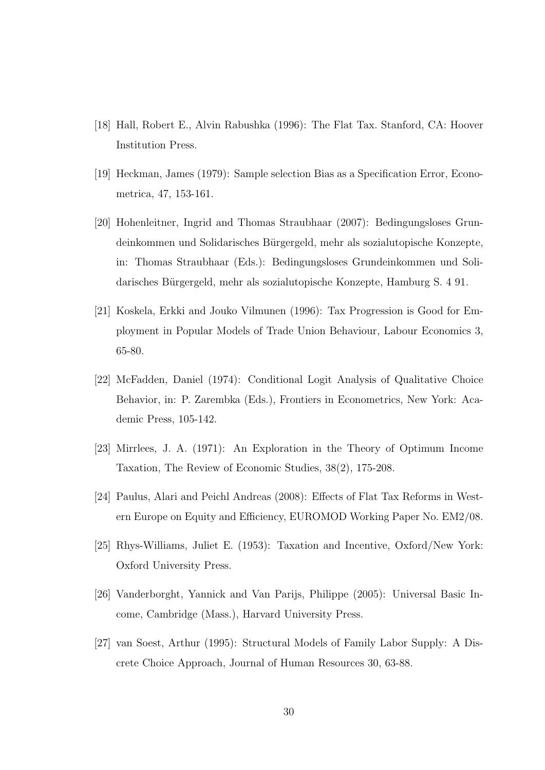- [18] Hall, Robert E., Alvin Rabushka (1996): The Flat Tax. Stanford, CA: Hoover Institution Press.
- [19] Heckman, James (1979): Sample selection Bias as a Specification Error, Econometrica, 47, 153-161.
- [20] Hohenleitner, Ingrid and Thomas Straubhaar (2007): Bedingungsloses Grundeinkommen und Solidarisches Bürgergeld, mehr als sozialutopische Konzepte, in: Thomas Straubhaar (Eds.): Bedingungsloses Grundeinkommen und Solidarisches Bürgergeld, mehr als sozialutopische Konzepte, Hamburg S. 4 91.
- [21] Koskela, Erkki and Jouko Vilmunen (1996): Tax Progression is Good for Employment in Popular Models of Trade Union Behaviour, Labour Economics 3, 65-80.
- [22] McFadden, Daniel (1974): Conditional Logit Analysis of Qualitative Choice Behavior, in: P. Zarembka (Eds.), Frontiers in Econometrics, New York: Academic Press, 105-142.
- [23] Mirrlees, J. A. (1971): An Exploration in the Theory of Optimum Income Taxation, The Review of Economic Studies, 38(2), 175-208.
- [24] Paulus, Alari and Peichl Andreas (2008): Effects of Flat Tax Reforms in Western Europe on Equity and Efficiency, EUROMOD Working Paper No. EM2/08.
- [25] Rhys-Williams, Juliet E. (1953): Taxation and Incentive, Oxford/New York: Oxford University Press.
- [26] Vanderborght, Yannick and Van Parijs, Philippe (2005): Universal Basic Income, Cambridge (Mass.), Harvard University Press.
- [27] van Soest, Arthur (1995): Structural Models of Family Labor Supply: A Discrete Choice Approach, Journal of Human Resources 30, 63-88.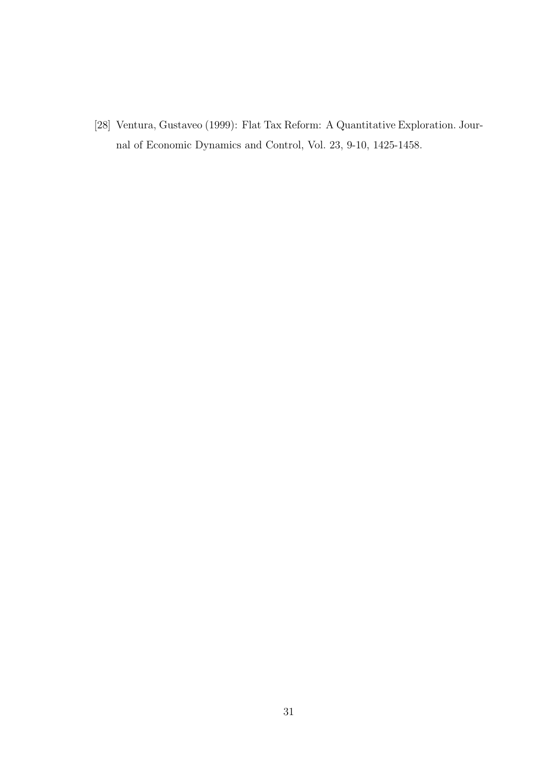[28] Ventura, Gustaveo (1999): Flat Tax Reform: A Quantitative Exploration. Journal of Economic Dynamics and Control, Vol. 23, 9-10, 1425-1458.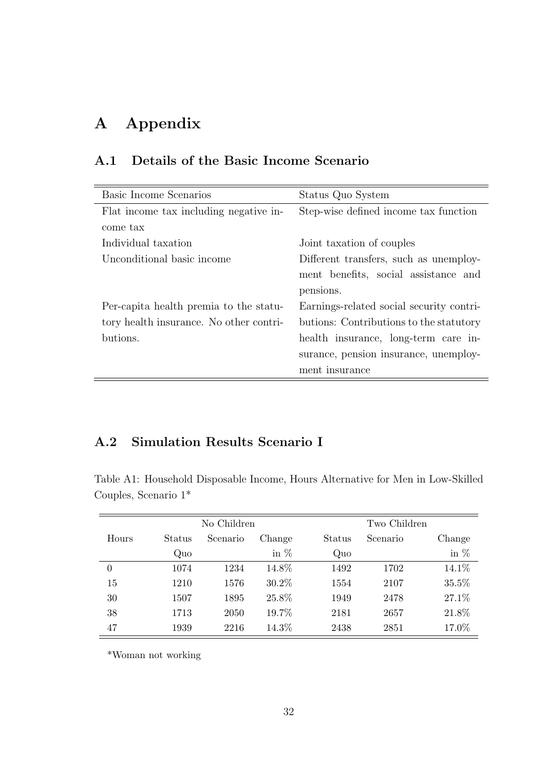# A Appendix

| Basic Income Scenarios                  | Status Quo System                        |
|-----------------------------------------|------------------------------------------|
| Flat income tax including negative in-  | Step-wise defined income tax function    |
| come tax                                |                                          |
| Individual taxation                     | Joint taxation of couples                |
| Unconditional basic income              | Different transfers, such as unemploy-   |
|                                         | ment benefits, social assistance and     |
|                                         | pensions.                                |
| Per-capita health premia to the statu-  | Earnings-related social security contri- |
| tory health insurance. No other contri- | butions: Contributions to the statutory  |
| butions.                                | health insurance, long-term care in-     |
|                                         | surance, pension insurance, unemploy-    |
|                                         | ment insurance                           |

## A.1 Details of the Basic Income Scenario

### A.2 Simulation Results Scenario I

Table A1: Household Disposable Income, Hours Alternative for Men in Low-Skilled Couples, Scenario 1\*

| No Children |        |          |        |        | Two Children |        |  |  |
|-------------|--------|----------|--------|--------|--------------|--------|--|--|
| Hours       | Status | Scenario | Change | Status | Scenario     | Change |  |  |
|             | Quo    |          | in $%$ | Quo    |              | in $%$ |  |  |
| $\theta$    | 1074   | 1234     | 14.8%  | 1492   | 1702         | 14.1%  |  |  |
| 15          | 1210   | 1576     | 30.2\% | 1554   | 2107         | 35.5%  |  |  |
| 30          | 1507   | 1895     | 25.8%  | 1949   | 2478         | 27.1%  |  |  |
| 38          | 1713   | 2050     | 19.7%  | 2181   | 2657         | 21.8%  |  |  |
| 47          | 1939   | 2216     | 14.3%  | 2438   | 2851         | 17.0%  |  |  |

\*Woman not working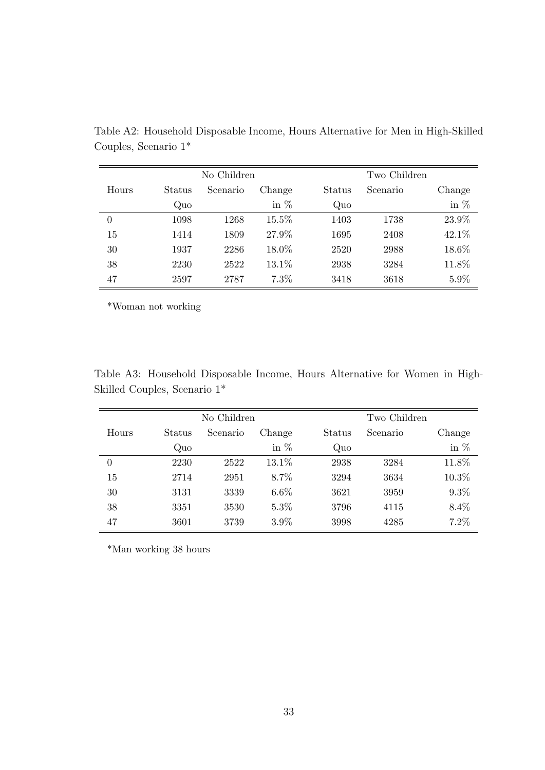| No Children |        |          |        | Two Children |          |        |
|-------------|--------|----------|--------|--------------|----------|--------|
| Hours       | Status | Scenario | Change | Status       | Scenario | Change |
|             | Quo    |          | in $%$ | Quo          |          | in $%$ |
| 0           | 1098   | 1268     | 15.5%  | 1403         | 1738     | 23.9%  |
| 15          | 1414   | 1809     | 27.9%  | 1695         | 2408     | 42.1%  |
| 30          | 1937   | 2286     | 18.0%  | 2520         | 2988     | 18.6%  |
| 38          | 2230   | 2522     | 13.1%  | 2938         | 3284     | 11.8%  |
| 47          | 2597   | 2787     | 7.3%   | 3418         | 3618     | 5.9%   |

Table A2: Household Disposable Income, Hours Alternative for Men in High-Skilled Couples, Scenario 1\*

\*Woman not working

Table A3: Household Disposable Income, Hours Alternative for Women in High-Skilled Couples, Scenario 1\*

| No Children |        |          |         | Two Children |          |         |
|-------------|--------|----------|---------|--------------|----------|---------|
| Hours       | Status | Scenario | Change  | Status       | Scenario | Change  |
|             | Quo    |          | in $%$  | Quo          |          | in $%$  |
| $\theta$    | 2230   | 2522     | 13.1\%  | 2938         | 3284     | 11.8%   |
| 15          | 2714   | 2951     | 8.7%    | 3294         | 3634     | 10.3%   |
| 30          | 3131   | 3339     | $6.6\%$ | 3621         | 3959     | $9.3\%$ |
| 38          | 3351   | 3530     | $5.3\%$ | 3796         | 4115     | 8.4%    |
| 47          | 3601   | 3739     | $3.9\%$ | 3998         | 4285     | 7.2%    |

\*Man working 38 hours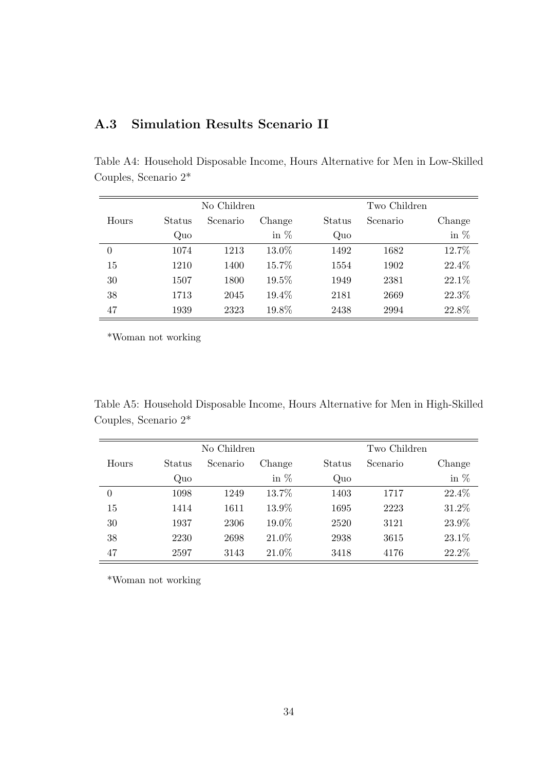| No Children |        |          |          |        | Two Children |        |  |
|-------------|--------|----------|----------|--------|--------------|--------|--|
| Hours       | Status | Scenario | Change   | Status | Scenario     | Change |  |
|             | Quo    |          | in $%$   | Quo    |              | in $%$ |  |
| $\theta$    | 1074   | 1213     | $13.0\%$ | 1492   | 1682         | 12.7%  |  |
| 15          | 1210   | 1400     | 15.7%    | 1554   | 1902         | 22.4%  |  |
| 30          | 1507   | 1800     | 19.5%    | 1949   | 2381         | 22.1%  |  |
| 38          | 1713   | 2045     | 19.4%    | 2181   | 2669         | 22.3%  |  |
| 47          | 1939   | 2323     | 19.8%    | 2438   | 2994         | 22.8%  |  |

Table A4: Household Disposable Income, Hours Alternative for Men in Low-Skilled

# A.3 Simulation Results Scenario II

\*Woman not working

Couples, Scenario 2\*

Table A5: Household Disposable Income, Hours Alternative for Men in High-Skilled Couples, Scenario 2\*

|       | No Children |          |        |        | Two Children |        |  |  |
|-------|-------------|----------|--------|--------|--------------|--------|--|--|
| Hours | Status      | Scenario | Change | Status | Scenario     | Change |  |  |
|       | Quo         |          | in $%$ | Quo    |              | in $%$ |  |  |
| 0     | 1098        | 1249     | 13.7%  | 1403   | 1717         | 22.4%  |  |  |
| 15    | 1414        | 1611     | 13.9%  | 1695   | 2223         | 31.2%  |  |  |
| 30    | 1937        | 2306     | 19.0%  | 2520   | 3121         | 23.9%  |  |  |
| 38    | 2230        | 2698     | 21.0%  | 2938   | 3615         | 23.1%  |  |  |
| 47    | 2597        | 3143     | 21.0%  | 3418   | 4176         | 22.2%  |  |  |

\*Woman not working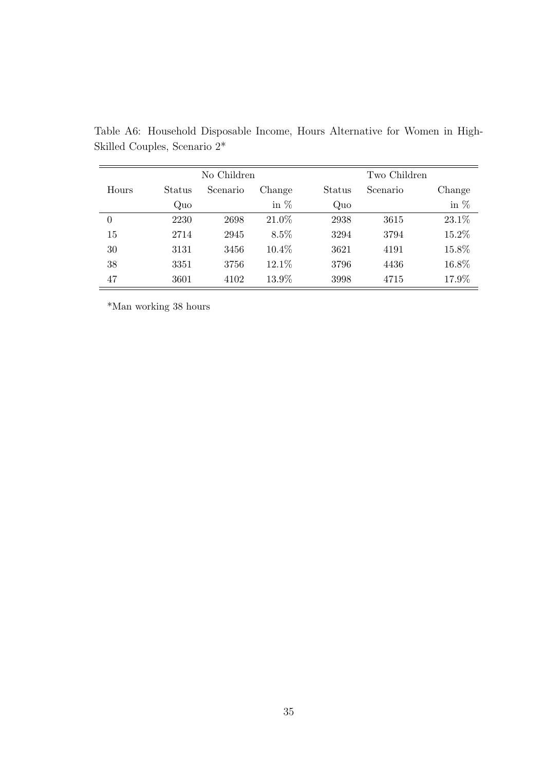| No Children |        |          |        | Two Children |          |        |
|-------------|--------|----------|--------|--------------|----------|--------|
| Hours       | Status | Scenario | Change | Status       | Scenario | Change |
|             | Quo    |          | in $%$ | Quo          |          | in $%$ |
| 0           | 2230   | 2698     | 21.0%  | 2938         | 3615     | 23.1%  |
| 15          | 2714   | 2945     | 8.5%   | 3294         | 3794     | 15.2%  |
| 30          | 3131   | 3456     | 10.4%  | 3621         | 4191     | 15.8%  |
| 38          | 3351   | 3756     | 12.1%  | 3796         | 4436     | 16.8%  |
| 47          | 3601   | 4102     | 13.9%  | 3998         | 4715     | 17.9%  |

Table A6: Household Disposable Income, Hours Alternative for Women in High-Skilled Couples, Scenario 2\*

\*Man working 38 hours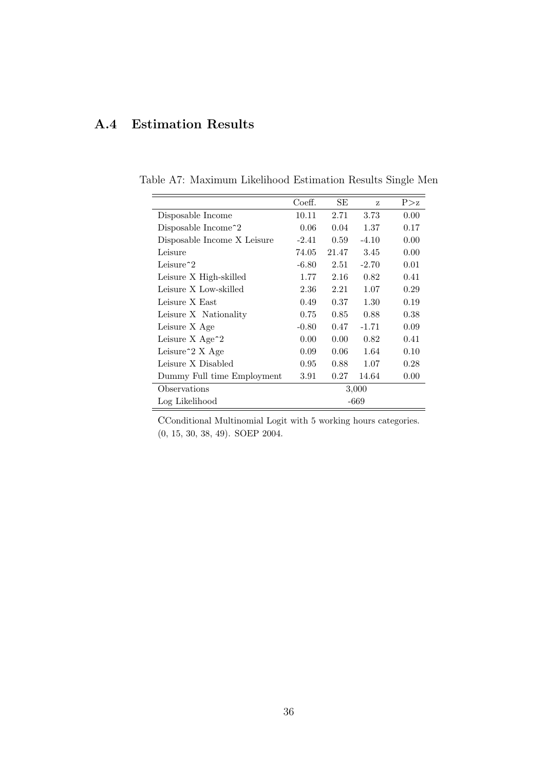# A.4 Estimation Results

|                                   | Coeff.  | SЕ                | Z       | P > z |  |
|-----------------------------------|---------|-------------------|---------|-------|--|
| Disposable Income                 | 10.11   | 2.71              | 3.73    | 0.00  |  |
| Disposable Income <sup>2</sup>    | 0.06    | 0.04              | 1.37    | 0.17  |  |
| Disposable Income X Leisure       | $-2.41$ | 0.59              | $-4.10$ | 0.00  |  |
| Leisure                           | 74.05   | 21.47             | 3.45    | 0.00  |  |
| Leisure <sup><math>2</math></sup> | $-6.80$ | 2.51              | $-2.70$ | 0.01  |  |
| Leisure X High-skilled            | 1.77    | 2.16              | 0.82    | 0.41  |  |
| Leisure X Low-skilled             | 2.36    | 2.21              | 1.07    | 0.29  |  |
| Leisure X East                    | 0.49    | 0.37              | 1.30    | 0.19  |  |
| Leisure X Nationality             | 0.75    | 0.85              | 0.88    | 0.38  |  |
| Leisure X Age                     | $-0.80$ | 0.47              | $-1.71$ | 0.09  |  |
| Leisure $X \text{Age}^2$          | 0.00    | 0.00 <sub>1</sub> | 0.82    | 0.41  |  |
| Leisure <sup>2</sup> X Age        | 0.09    | 0.06              | 1.64    | 0.10  |  |
| Leisure X Disabled                | 0.95    | 0.88              | 1.07    | 0.28  |  |
| Dummy Full time Employment        | 3.91    | 0.27              | 14.64   | 0.00  |  |
| Observations                      | 3,000   |                   |         |       |  |
| Log Likelihood                    | $-669$  |                   |         |       |  |

Table A7: Maximum Likelihood Estimation Results Single Men

CConditional Multinomial Logit with 5 working hours categories. (0, 15, 30, 38, 49). SOEP 2004.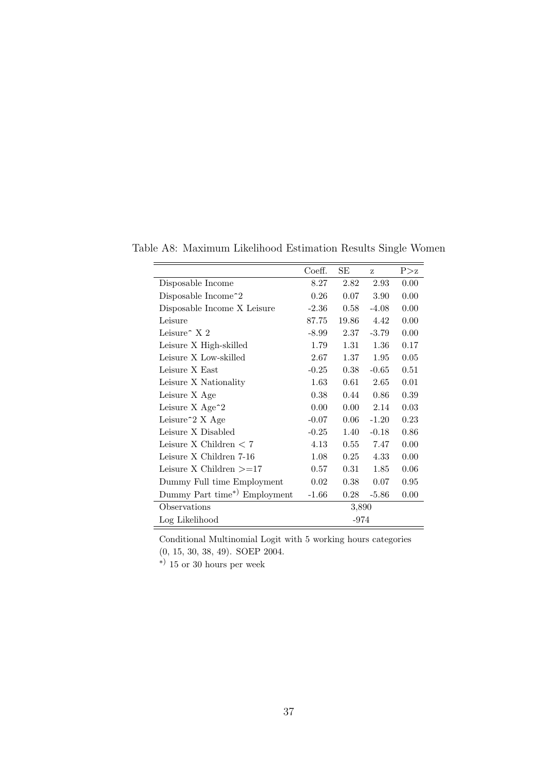|                                            | Coeff.  | SЕ    | z        | P > z |  |  |
|--------------------------------------------|---------|-------|----------|-------|--|--|
| Disposable Income                          | 8.27    | 2.82  | 2.93     | 0.00  |  |  |
| Disposable Income <sup>2</sup>             | 0.26    | 0.07  | 3.90     | 0.00  |  |  |
| Disposable Income X Leisure                | $-2.36$ | 0.58  | $-4.08$  | 0.00  |  |  |
| Leisure                                    | 87.75   | 19.86 | 4.42     | 0.00  |  |  |
| Leisure $\hat{X}$ 2                        | $-8.99$ | 2.37  | $-3.79$  | 0.00  |  |  |
| Leisure X High-skilled                     | 1.79    | 1.31  | 1.36     | 0.17  |  |  |
| Leisure X Low-skilled                      | 2.67    | 1.37  | $1.95\,$ | 0.05  |  |  |
| Leisure X East                             | $-0.25$ | 0.38  | $-0.65$  | 0.51  |  |  |
| Leisure X Nationality                      | 1.63    | 0.61  | 2.65     | 0.01  |  |  |
| Leisure X Age                              | 0.38    | 0.44  | 0.86     | 0.39  |  |  |
| Leisure $X$ Age <sup><math>-2</math></sup> | 0.00    | 0.00  | 2.14     | 0.03  |  |  |
| Leisure <sup>2</sup> X Age                 | $-0.07$ | 0.06  | $-1.20$  | 0.23  |  |  |
| Leisure X Disabled                         | $-0.25$ | 1.40  | $-0.18$  | 0.86  |  |  |
| Leisure X Children $< 7$                   | 4.13    | 0.55  | 7.47     | 0.00  |  |  |
| Leisure X Children 7-16                    | 1.08    | 0.25  | 4.33     | 0.00  |  |  |
| Leisure X Children $>=17$                  | 0.57    | 0.31  | 1.85     | 0.06  |  |  |
| Dummy Full time Employment                 | 0.02    | 0.38  | 0.07     | 0.95  |  |  |
| Dummy Part time*) Employment               | $-1.66$ | 0.28  | $-5.86$  | 0.00  |  |  |
| Observations                               |         | 3,890 |          |       |  |  |
| Log Likelihood                             | -974    |       |          |       |  |  |

Table A8: Maximum Likelihood Estimation Results Single Women

Conditional Multinomial Logit with 5 working hours categories

(0, 15, 30, 38, 49). SOEP 2004.

∗) 15 or 30 hours per week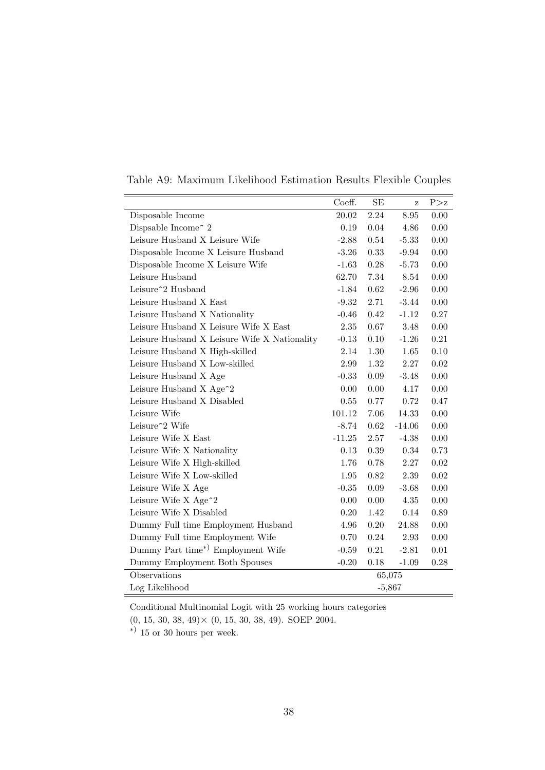|                                              | Coeff.   | SE         | Ζ        | P > z      |
|----------------------------------------------|----------|------------|----------|------------|
| Disposable Income                            | 20.02    | 2.24       | 8.95     | 0.00       |
| Dispsable Income <sup>2</sup> 2              | 0.19     | 0.04       | 4.86     | 0.00       |
| Leisure Husband X Leisure Wife               | $-2.88$  | 0.54       | $-5.33$  | 0.00       |
| Disposable Income X Leisure Husband          | $-3.26$  | 0.33       | $-9.94$  | $0.00\,$   |
| Disposable Income X Leisure Wife             | $-1.63$  | $0.28\,$   | $-5.73$  | $0.00\,$   |
| Leisure Husband                              | 62.70    | 7.34       | 8.54     | 0.00       |
| Leisure <sup>2</sup> Husband                 | $-1.84$  | $\,0.62\,$ | $-2.96$  | $0.00\,$   |
| Leisure Husband X East                       | $-9.32$  | 2.71       | $-3.44$  | 0.00       |
| Leisure Husband X Nationality                | $-0.46$  | 0.42       | $-1.12$  | 0.27       |
| Leisure Husband X Leisure Wife X East        | $2.35\,$ | 0.67       | 3.48     | 0.00       |
| Leisure Husband X Leisure Wife X Nationality | $-0.13$  | 0.10       | $-1.26$  | 0.21       |
| Leisure Husband X High-skilled               | 2.14     | $1.30\,$   | 1.65     | $0.10\,$   |
| Leisure Husband X Low-skilled                | 2.99     | 1.32       | 2.27     | $\,0.02\,$ |
| Leisure Husband X Age                        | $-0.33$  | $0.09\,$   | $-3.48$  | 0.00       |
| Leisure Husband X Age <sup>2</sup>           | 0.00     | 0.00       | 4.17     | 0.00       |
| Leisure Husband X Disabled                   | 0.55     | 0.77       | 0.72     | 0.47       |
| Leisure Wife                                 | 101.12   | 7.06       | 14.33    | $0.00\,$   |
| Leisure <sup>2</sup> Wife                    | $-8.74$  | $\,0.62\,$ | $-14.06$ | $0.00\,$   |
| Leisure Wife X East                          | $-11.25$ | 2.57       | $-4.38$  | 0.00       |
| Leisure Wife X Nationality                   | 0.13     | 0.39       | 0.34     | 0.73       |
| Leisure Wife X High-skilled                  | 1.76     | 0.78       | 2.27     | $0.02\,$   |
| Leisure Wife X Low-skilled                   | 1.95     | 0.82       | 2.39     | $\,0.02$   |
| Leisure Wife X Age                           | $-0.35$  | 0.09       | $-3.68$  | 0.00       |
| Leisure Wife X Age <sup>2</sup>              | 0.00     | 0.00       | 4.35     | $0.00\,$   |
| Leisure Wife X Disabled                      | 0.20     | 1.42       | 0.14     | 0.89       |
| Dummy Full time Employment Husband           | 4.96     | 0.20       | 24.88    | 0.00       |
| Dummy Full time Employment Wife              | 0.70     | 0.24       | 2.93     | 0.00       |
| Dummy Part time*) Employment Wife            | $-0.59$  | 0.21       | $-2.81$  | $0.01\,$   |
| Dummy Employment Both Spouses                | $-0.20$  | 0.18       | $-1.09$  | $0.28\,$   |
| Observations                                 | 65,075   |            |          |            |
| Log Likelihood                               | $-5,867$ |            |          |            |

Table A9: Maximum Likelihood Estimation Results Flexible Couples

Conditional Multinomial Logit with 25 working hours categories

 $(0, 15, 30, 38, 49) \times (0, 15, 30, 38, 49)$ . SOEP 2004.

∗) 15 or 30 hours per week.